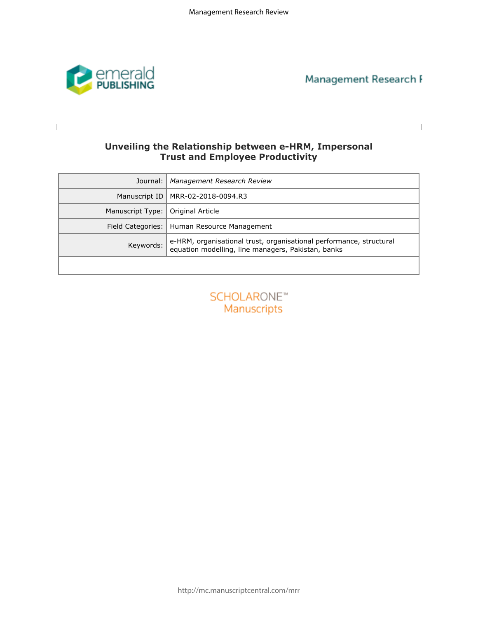

 $\begin{array}{c} \hline \end{array}$ 

I

Management Research I

# **Trust and Employee Productivity**

| Unveiling the Relationship between e-HRM, Impersonal<br><b>Trust and Employee Productivity</b> |                                                                                                                           |  |  |  |  |  |  |
|------------------------------------------------------------------------------------------------|---------------------------------------------------------------------------------------------------------------------------|--|--|--|--|--|--|
| Journal:                                                                                       | Management Research Review                                                                                                |  |  |  |  |  |  |
| Manuscript ID                                                                                  | MRR-02-2018-0094.R3                                                                                                       |  |  |  |  |  |  |
| Manuscript Type:                                                                               | Original Article                                                                                                          |  |  |  |  |  |  |
| Field Categories:                                                                              | Human Resource Management                                                                                                 |  |  |  |  |  |  |
| Keywords:                                                                                      | e-HRM, organisational trust, organisational performance, structural<br>equation modelling, line managers, Pakistan, banks |  |  |  |  |  |  |
|                                                                                                |                                                                                                                           |  |  |  |  |  |  |
|                                                                                                | <b>SCHOLARONE™</b><br>Manuscripts                                                                                         |  |  |  |  |  |  |

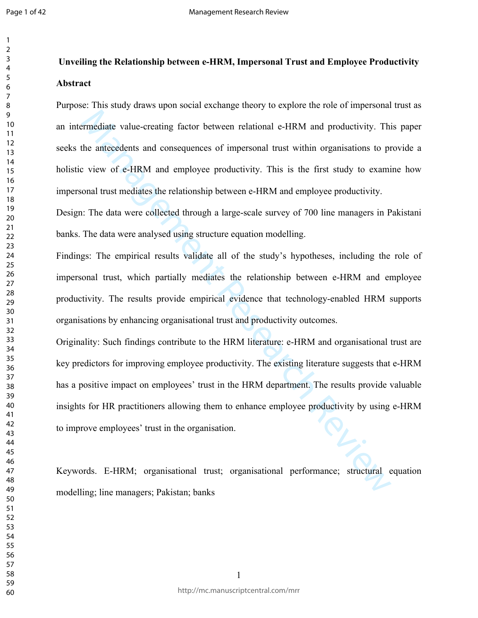## **Unveiling the Relationship between e-HRM, Impersonal Trust and Employee Productivity Abstract**

Purpose: This study draws upon social exchange theory to explore the role of impersonal trust as an intermediate value-creating factor between relational e-HRM and productivity. This paper seeks the antecedents and consequences of impersonal trust within organisations to provide a holistic view of e-HRM and employee productivity. This is the first study to examine how impersonal trust mediates the relationship between e-HRM and employee productivity.

Design: The data were collected through a large-scale survey of 700 line managers in Pakistani banks. The data were analysed using structure equation modelling.

Findings: The empirical results validate all of the study's hypotheses, including the role of impersonal trust, which partially mediates the relationship between e-HRM and employee productivity. The results provide empirical evidence that technology-enabled HRM supports organisations by enhancing organisational trust and productivity outcomes.

Example Translation and productivity. This the matter of the matter of the matter of the matter of the matter<br>
Management Review of e-HRM and employee productivity. This is the first study to examinal trust mediates the re Originality: Such findings contribute to the HRM literature: e-HRM and organisational trust are key predictors for improving employee productivity. The existing literature suggests that e-HRM has a positive impact on employees' trust in the HRM department. The results provide valuable insights for HR practitioners allowing them to enhance employee productivity by using e-HRM to improve employees' trust in the organisation.

Keywords. E-HRM; organisational trust; organisational performance; structural equation modelling; line managers; Pakistan; banks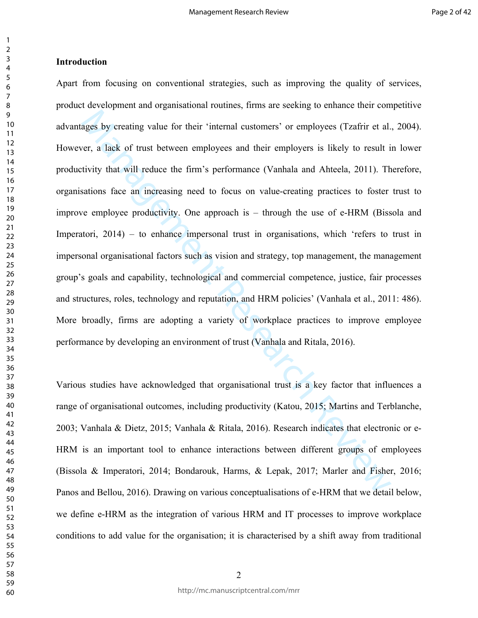ages by creating value for their 'internal customers' or employees (Tzafrir et al.<br>
ver, a lack of trust between employees and their employees is likely to result is<br>
virtivity that will reduce the firm's performance (Vanh Apart from focusing on conventional strategies, such as improving the quality of services, product development and organisational routines, firms are seeking to enhance their competitive advantages by creating value for their 'internal customers' or employees (Tzafrir et al., 2004). However, a lack of trust between employees and their employers is likely to result in lower productivity that will reduce the firm's performance (Vanhala and Ahteela, 2011). Therefore, organisations face an increasing need to focus on value-creating practices to foster trust to improve employee productivity. One approach is – through the use of e-HRM (Bissola and Imperatori, 2014) – to enhance impersonal trust in organisations, which 'refers to trust in impersonal organisational factors such as vision and strategy, top management, the management group's goals and capability, technological and commercial competence, justice, fair processes and structures, roles, technology and reputation, and HRM policies' (Vanhala et al., 2011: 486). More broadly, firms are adopting a variety of workplace practices to improve employee performance by developing an environment of trust (Vanhala and Ritala, 2016).

Various studies have acknowledged that organisational trust is a key factor that influences a range of organisational outcomes, including productivity (Katou, 2015; Martins and Terblanche, 2003; Vanhala & Dietz, 2015; Vanhala & Ritala, 2016). Research indicates that electronic or e-HRM is an important tool to enhance interactions between different groups of employees (Bissola & Imperatori, 2014; Bondarouk, Harms, & Lepak, 2017; Marler and Fisher, 2016; Panos and Bellou, 2016). Drawing on various conceptualisations of e-HRM that we detail below, we define e-HRM as the integration of various HRM and IT processes to improve workplace conditions to add value for the organisation; it is characterised by a shift away from traditional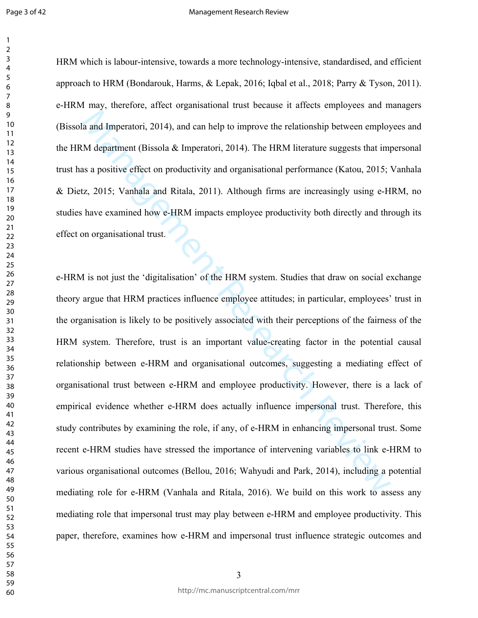#### Management Research Review

HRM which is labour-intensive, towards a more technology-intensive, standardised, and efficient approach to HRM (Bondarouk, Harms, & Lepak, 2016; Iqbal et al., 2018; Parry & Tyson, 2011). e-HRM may, therefore, affect organisational trust because it affects employees and managers (Bissola and Imperatori, 2014), and can help to improve the relationship between employees and the HRM department (Bissola  $\&$  Imperatori, 2014). The HRM literature suggests that impersonal trust has a positive effect on productivity and organisational performance (Katou, 2015; Vanhala & Dietz, 2015; Vanhala and Ritala, 2011). Although firms are increasingly using e-HRM, no studies have examined how e-HRM impacts employee productivity both directly and through its effect on organisational trust.

and Imperatori, 2014), and can help to improve the relationship between employ<br>Melepartment (Bissola & Imperatori, 2014). The HRM literature suggests that im<br>sa positive effect on productivity and organisational performanc e-HRM is not just the 'digitalisation' of the HRM system. Studies that draw on social exchange theory argue that HRM practices influence employee attitudes; in particular, employees' trust in the organisation is likely to be positively associated with their perceptions of the fairness of the HRM system. Therefore, trust is an important value-creating factor in the potential causal relationship between e-HRM and organisational outcomes, suggesting a mediating effect of organisational trust between e-HRM and employee productivity. However, there is a lack of empirical evidence whether e-HRM does actually influence impersonal trust. Therefore, this study contributes by examining the role, if any, of e-HRM in enhancing impersonal trust. Some recent e-HRM studies have stressed the importance of intervening variables to link e-HRM to various organisational outcomes (Bellou, 2016; Wahyudi and Park, 2014), including a potential mediating role for e-HRM (Vanhala and Ritala, 2016). We build on this work to assess any mediating role that impersonal trust may play between e-HRM and employee productivity. This paper, therefore, examines how e-HRM and impersonal trust influence strategic outcomes and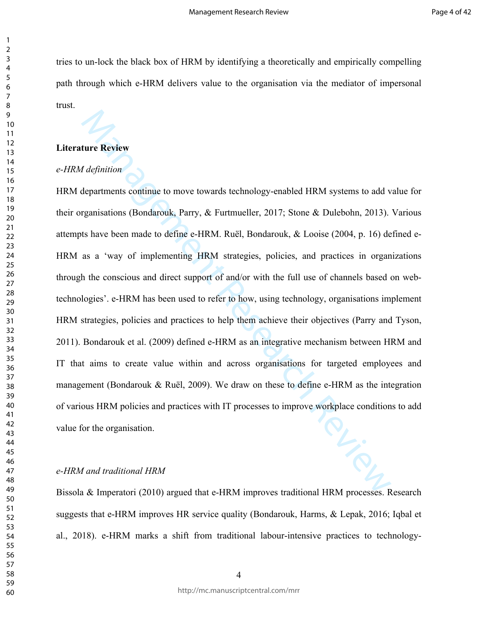tries to un-lock the black box of HRM by identifying a theoretically and empirically compelling path through which e-HRM delivers value to the organisation via the mediator of impersonal trust.

## **Literature Review**

## *e-HRM definition*

*Management*<br> *Management* Condenous, Parry, & Furthmeller, 2017; Stone & Dulebohn, 2013).<br>
Stane been made to define e-HRM. Ruel, Bondarouk, & Looise (2004, p. 16) de<br>
as a 'way of implementing HRM strategies, policies, a HRM departments continue to move towards technology-enabled HRM systems to add value for their organisations (Bondarouk, Parry, & Furtmueller, 2017; Stone & Dulebohn, 2013). Various attempts have been made to define e-HRM. Ruël, Bondarouk, & Looise (2004, p. 16) defined e-HRM as a 'way of implementing HRM strategies, policies, and practices in organizations through the conscious and direct support of and/or with the full use of channels based on webtechnologies'. e-HRM has been used to refer to how, using technology, organisations implement HRM strategies, policies and practices to help them achieve their objectives (Parry and Tyson, 2011). Bondarouk et al. (2009) defined e-HRM as an integrative mechanism between HRM and IT that aims to create value within and across organisations for targeted employees and management (Bondarouk & Ruël, 2009). We draw on these to define e-HRM as the integration of various HRM policies and practices with IT processes to improve workplace conditions to add value for the organisation.

## *e-HRM and traditional HRM*

Bissola & Imperatori (2010) argued that e-HRM improves traditional HRM processes. Research suggests that e-HRM improves HR service quality (Bondarouk, Harms, & Lepak, 2016; Iqbal et al., 2018). e-HRM marks a shift from traditional labour-intensive practices to technology-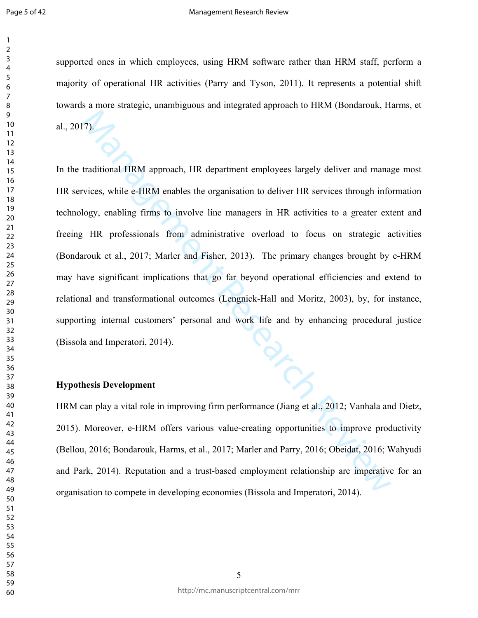#### Management Research Review

supported ones in which employees, using HRM software rather than HRM staff, perform a majority of operational HR activities (Parry and Tyson, 2011). It represents a potential shift towards a more strategic, unambiguous and integrated approach to HRM (Bondarouk, Harms, et al., 2017).

17).<br>
The traditional HRM approach, HR department employees largely deliver and manage<br>
interactional HRM anables the organisation to deliver IR services through info<br>
logy, enabling firms to involve line managers in IRR In the traditional HRM approach, HR department employees largely deliver and manage most HR services, while e-HRM enables the organisation to deliver HR services through information technology, enabling firms to involve line managers in HR activities to a greater extent and freeing HR professionals from administrative overload to focus on strategic activities (Bondarouk et al., 2017; Marler and Fisher, 2013). The primary changes brought by e-HRM may have significant implications that go far beyond operational efficiencies and extend to relational and transformational outcomes (Lengnick-Hall and Moritz, 2003), by, for instance, supporting internal customers' personal and work life and by enhancing procedural justice (Bissola and Imperatori, 2014).

## **Hypothesis Development**

HRM can play a vital role in improving firm performance (Jiang et al., 2012; Vanhala and Dietz, 2015). Moreover, e-HRM offers various value-creating opportunities to improve productivity (Bellou, 2016; Bondarouk, Harms, et al., 2017; Marler and Parry, 2016; Obeidat, 2016; Wahyudi and Park, 2014). Reputation and a trust-based employment relationship are imperative for an organisation to compete in developing economies (Bissola and Imperatori, 2014).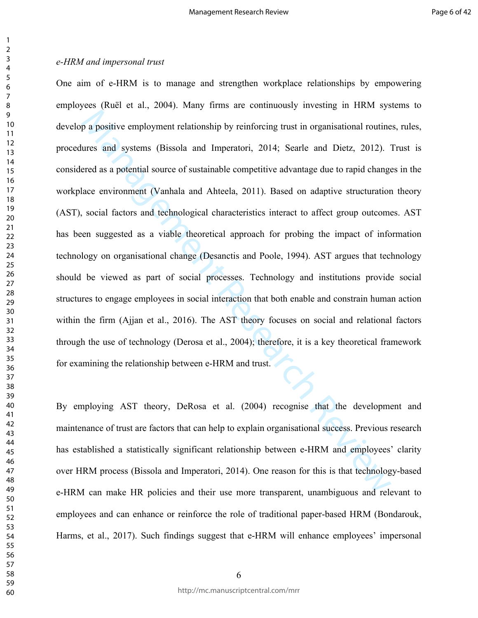p a positive employment relationship by reinforcing trust in organisational routine<br>ures and systems (Bissola and Imperatori, 2014; Searle and Dietz, 2012).<br>There as a potential source of sustainable competitive advantage One aim of e-HRM is to manage and strengthen workplace relationships by empowering employees (Ruël et al., 2004). Many firms are continuously investing in HRM systems to develop a positive employment relationship by reinforcing trust in organisational routines, rules, procedures and systems (Bissola and Imperatori, 2014; Searle and Dietz, 2012). Trust is considered as a potential source of sustainable competitive advantage due to rapid changes in the workplace environment (Vanhala and Ahteela, 2011). Based on adaptive structuration theory (AST), social factors and technological characteristics interact to affect group outcomes. AST has been suggested as a viable theoretical approach for probing the impact of information technology on organisational change (Desanctis and Poole, 1994). AST argues that technology should be viewed as part of social processes. Technology and institutions provide social structures to engage employees in social interaction that both enable and constrain human action within the firm (Ajjan et al., 2016). The AST theory focuses on social and relational factors through the use of technology (Derosa et al., 2004); therefore, it is a key theoretical framework for examining the relationship between e-HRM and trust.

By employing AST theory, DeRosa et al. (2004) recognise that the development and maintenance of trust are factors that can help to explain organisational success. Previous research has established a statistically significant relationship between e-HRM and employees' clarity over HRM process (Bissola and Imperatori, 2014). One reason for this is that technology-based e-HRM can make HR policies and their use more transparent, unambiguous and relevant to employees and can enhance or reinforce the role of traditional paper-based HRM (Bondarouk, Harms, et al., 2017). Such findings suggest that e-HRM will enhance employees' impersonal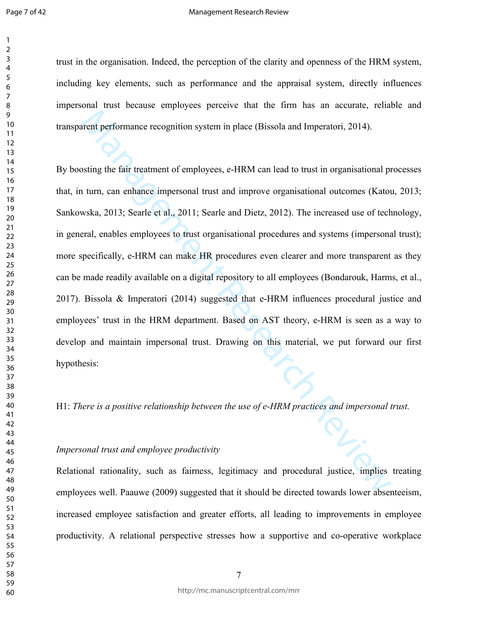#### Management Research Review

trust in the organisation. Indeed, the perception of the clarity and openness of the HRM system, including key elements, such as performance and the appraisal system, directly influences impersonal trust because employees perceive that the firm has an accurate, reliable and transparent performance recognition system in place (Bissola and Imperatori, 2014).

arent performance recognition system in place (Bissola and Imperatori, 2014).<br>
Signific the fair treatment of employees, e-HRM can lead to trust in organisational pi<br>
turn, can enhance impersonal trust and improve organis By boosting the fair treatment of employees, e-HRM can lead to trust in organisational processes that, in turn, can enhance impersonal trust and improve organisational outcomes (Katou, 2013; Sankowska, 2013; Searle et al., 2011; Searle and Dietz, 2012). The increased use of technology, in general, enables employees to trust organisational procedures and systems (impersonal trust); more specifically, e-HRM can make HR procedures even clearer and more transparent as they can be made readily available on a digital repository to all employees (Bondarouk, Harms, et al., 2017). Bissola & Imperatori (2014) suggested that e-HRM influences procedural justice and employees' trust in the HRM department. Based on AST theory, e-HRM is seen as a way to develop and maintain impersonal trust. Drawing on this material, we put forward our first hypothesis:

H1: *There is a positive relationship between the use of e-HRM practices and impersonal trust.*

### *Impersonal trust and employee productivity*

Relational rationality, such as fairness, legitimacy and procedural justice, implies treating employees well. Paauwe (2009) suggested that it should be directed towards lower absenteeism, increased employee satisfaction and greater efforts, all leading to improvements in employee productivity. A relational perspective stresses how a supportive and co-operative workplace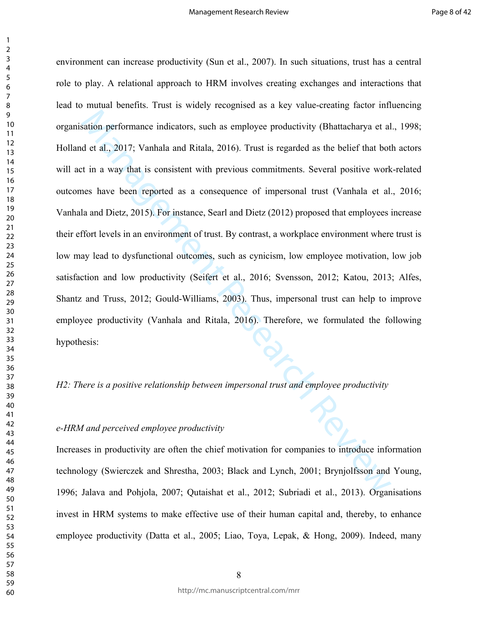sation performance indicators, such as employee productivity (Bhattacharya et al<br>
d et al., 2017; Vanhala and Ritala, 2016). Trust is regarded as the belief that bot<br>
t in a way that is consistent with previous commitments environment can increase productivity (Sun et al., 2007). In such situations, trust has a central role to play. A relational approach to HRM involves creating exchanges and interactions that lead to mutual benefits. Trust is widely recognised as a key value-creating factor influencing organisation performance indicators, such as employee productivity (Bhattacharya et al., 1998; Holland et al., 2017; Vanhala and Ritala, 2016). Trust is regarded as the belief that both actors will act in a way that is consistent with previous commitments. Several positive work-related outcomes have been reported as a consequence of impersonal trust (Vanhala et al., 2016; Vanhala and Dietz, 2015). For instance, Searl and Dietz (2012) proposed that employees increase their effort levels in an environment of trust. By contrast, a workplace environment where trust is low may lead to dysfunctional outcomes, such as cynicism, low employee motivation, low job satisfaction and low productivity (Seifert et al., 2016; Svensson, 2012; Katou, 2013; Alfes, Shantz and Truss, 2012; Gould-Williams, 2003). Thus, impersonal trust can help to improve employee productivity (Vanhala and Ritala, 2016). Therefore, we formulated the following hypothesis:

*H2: There is a positive relationship between impersonal trust and employee productivity*

## *e-HRM and perceived employee productivity*

Increases in productivity are often the chief motivation for companies to introduce information technology (Swierczek and Shrestha, 2003; Black and Lynch, 2001; Brynjolfsson and Young, 1996; Jalava and Pohjola, 2007; Qutaishat et al., 2012; Subriadi et al., 2013). Organisations invest in HRM systems to make effective use of their human capital and, thereby, to enhance employee productivity (Datta et al., 2005; Liao, Toya, Lepak, & Hong, 2009). Indeed, many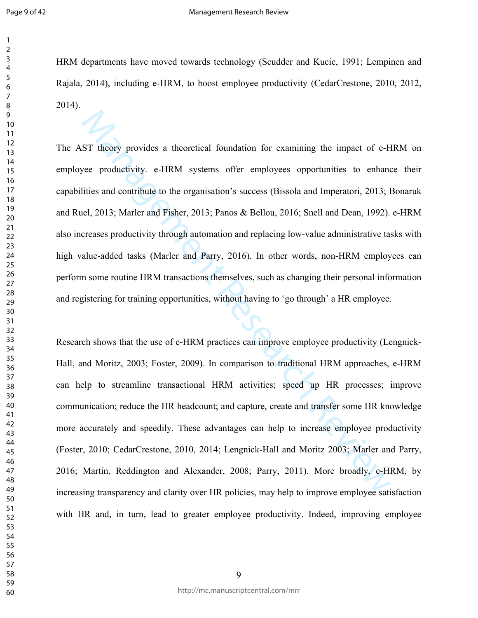#### Management Research Review

HRM departments have moved towards technology (Scudder and Kucic, 1991; Lempinen and Rajala, 2014), including e-HRM, to boost employee productivity (CedarCrestone, 2010, 2012, 2014).

ST theory provides a theoretical foundation for examining the impact of e-H<br>we productivity. e-HRM systems offer employees opportunities to enhance<br>lities and contribute to the organisation's success (Bissola and Imperator The AST theory provides a theoretical foundation for examining the impact of e-HRM on employee productivity. e-HRM systems offer employees opportunities to enhance their capabilities and contribute to the organisation's success (Bissola and Imperatori, 2013; Bonaruk and Ruel, 2013; Marler and Fisher, 2013; Panos & Bellou, 2016; Snell and Dean, 1992). e-HRM also increases productivity through automation and replacing low-value administrative tasks with high value-added tasks (Marler and Parry, 2016). In other words, non-HRM employees can perform some routine HRM transactions themselves, such as changing their personal information and registering for training opportunities, without having to 'go through' a HR employee.

Research shows that the use of e-HRM practices can improve employee productivity (Lengnick-Hall, and Moritz, 2003; Foster, 2009). In comparison to traditional HRM approaches, e-HRM can help to streamline transactional HRM activities; speed up HR processes; improve communication; reduce the HR headcount; and capture, create and transfer some HR knowledge more accurately and speedily. These advantages can help to increase employee productivity (Foster, 2010; CedarCrestone, 2010, 2014; Lengnick-Hall and Moritz 2003; Marler and Parry, 2016; Martin, Reddington and Alexander, 2008; Parry, 2011). More broadly, e-HRM, by increasing transparency and clarity over HR policies, may help to improve employee satisfaction with HR and, in turn, lead to greater employee productivity. Indeed, improving employee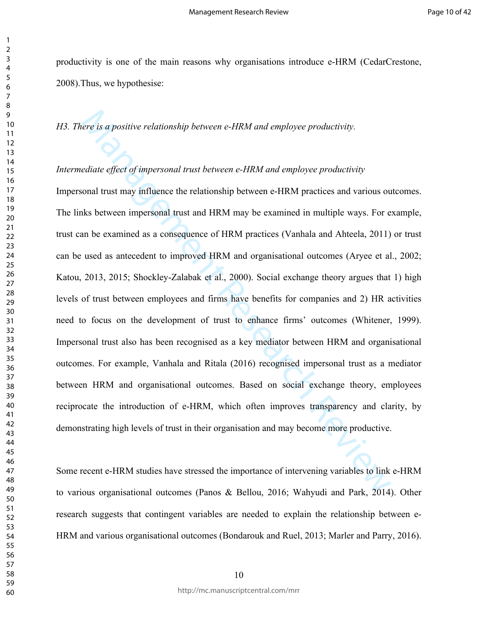productivity is one of the main reasons why organisations introduce e-HRM (CedarCrestone, 2008).Thus, we hypothesise:

*H3. There is a positive relationship between e-HRM and employee productivity.*

## *Intermediate effect of impersonal trust between e-HRM and employee productivity*

ere is a positive relationship between e-HRM and employee productivity.<br>
ediate effect of impersonal trust between e-HRM and employee productivity<br>
ediate effect of impersonal trust between e-HRM and employee productivity<br> Impersonal trust may influence the relationship between e-HRM practices and various outcomes. The links between impersonal trust and HRM may be examined in multiple ways. For example, trust can be examined as a consequence of HRM practices (Vanhala and Ahteela, 2011) or trust can be used as antecedent to improved HRM and organisational outcomes (Aryee et al., 2002; Katou, 2013, 2015; Shockley-Zalabak et al., 2000). Social exchange theory argues that 1) high levels of trust between employees and firms have benefits for companies and 2) HR activities need to focus on the development of trust to enhance firms' outcomes (Whitener, 1999). Impersonal trust also has been recognised as a key mediator between HRM and organisational outcomes. For example, Vanhala and Ritala (2016) recognised impersonal trust as a mediator between HRM and organisational outcomes. Based on social exchange theory, employees reciprocate the introduction of e-HRM, which often improves transparency and clarity, by demonstrating high levels of trust in their organisation and may become more productive.

Some recent e-HRM studies have stressed the importance of intervening variables to link e-HRM to various organisational outcomes (Panos & Bellou, 2016; Wahyudi and Park, 2014). Other research suggests that contingent variables are needed to explain the relationship between e-HRM and various organisational outcomes (Bondarouk and Ruel, 2013; Marler and Parry, 2016).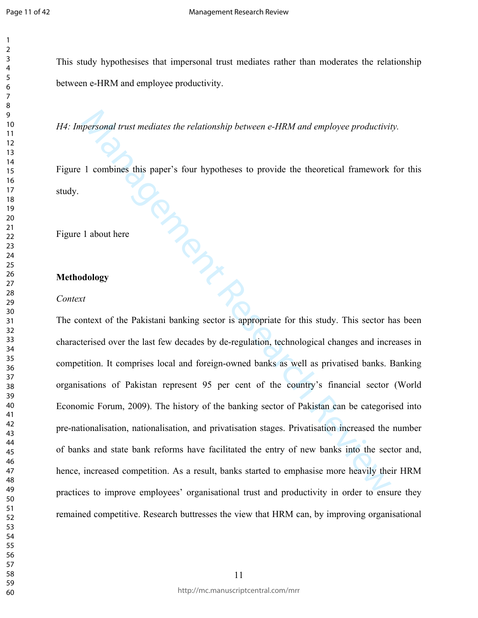This study hypothesises that impersonal trust mediates rather than moderates the relationship between e-HRM and employee productivity.

*H4: Impersonal trust mediates the relationship between e-HRM and employee productivity.* 

**SORREPTION** Figure 1 combines this paper's four hypotheses to provide the theoretical framework for this study.

Figure 1 about here

## **Methodology**

### *Context*

The context of the Pakistani banking sector is appropriate for this study. This sector has been characterised over the last few decades by de-regulation, technological changes and increases in competition. It comprises local and foreign-owned banks as well as privatised banks. Banking organisations of Pakistan represent 95 per cent of the country's financial sector (World Economic Forum, 2009). The history of the banking sector of Pakistan can be categorised into pre-nationalisation, nationalisation, and privatisation stages. Privatisation increased the number of banks and state bank reforms have facilitated the entry of new banks into the sector and, hence, increased competition. As a result, banks started to emphasise more heavily their HRM practices to improve employees' organisational trust and productivity in order to ensure they remained competitive. Research buttresses the view that HRM can, by improving organisational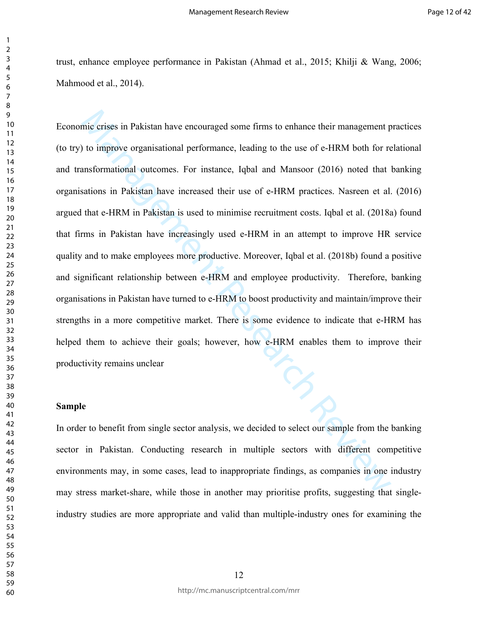trust, enhance employee performance in Pakistan (Ahmad et al., 2015; Khilji & Wang, 2006; Mahmood et al., 2014).

mie crises in Pakistan have encouraged some firms to enhance their management p to improve organisational performance, leading to the use of e-HRM both for reasformational outcomes. For instance, 1qbal and Mansoor (2016) n Economic crises in Pakistan have encouraged some firms to enhance their management practices (to try) to improve organisational performance, leading to the use of e-HRM both for relational and transformational outcomes. For instance, Iqbal and Mansoor (2016) noted that banking organisations in Pakistan have increased their use of e-HRM practices. Nasreen et al. (2016) argued that e-HRM in Pakistan is used to minimise recruitment costs. Iqbal et al. (2018a) found that firms in Pakistan have increasingly used e-HRM in an attempt to improve HR service quality and to make employees more productive. Moreover, Iqbal et al. (2018b) found a positive and significant relationship between e-HRM and employee productivity. Therefore, banking organisations in Pakistan have turned to e-HRM to boost productivity and maintain/improve their strengths in a more competitive market. There is some evidence to indicate that e-HRM has helped them to achieve their goals; however, how e-HRM enables them to improve their productivity remains unclear

## **Sample**

In order to benefit from single sector analysis, we decided to select our sample from the banking sector in Pakistan. Conducting research in multiple sectors with different competitive environments may, in some cases, lead to inappropriate findings, as companies in one industry may stress market-share, while those in another may prioritise profits, suggesting that singleindustry studies are more appropriate and valid than multiple-industry ones for examining the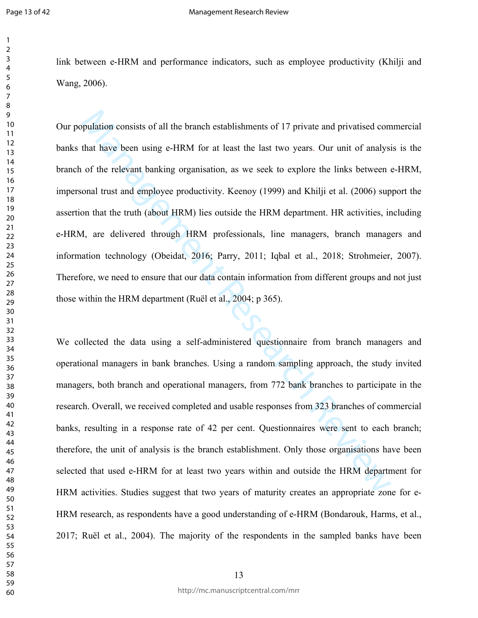link between e-HRM and performance indicators, such as employee productivity (Khilji and Wang, 2006).

pulation consists of all the branch establishments of 17 private and privatised com<br>that have been using e-HRM for at least the last two years. Our unit of analysi<br>of the relevant banking organisation, as we seek to explor Our population consists of all the branch establishments of 17 private and privatised commercial banks that have been using e-HRM for at least the last two years. Our unit of analysis is the branch of the relevant banking organisation, as we seek to explore the links between e-HRM, impersonal trust and employee productivity. Keenoy (1999) and Khilji et al. (2006) support the assertion that the truth (about HRM) lies outside the HRM department. HR activities, including e-HRM, are delivered through HRM professionals, line managers, branch managers and information technology (Obeidat, 2016; Parry, 2011; Iqbal et al., 2018; Strohmeier, 2007). Therefore, we need to ensure that our data contain information from different groups and not just those within the HRM department (Ruël et al., 2004; p 365).

We collected the data using a self-administered questionnaire from branch managers and operational managers in bank branches. Using a random sampling approach, the study invited managers, both branch and operational managers, from 772 bank branches to participate in the research. Overall, we received completed and usable responses from 323 branches of commercial banks, resulting in a response rate of 42 per cent. Questionnaires were sent to each branch; therefore, the unit of analysis is the branch establishment. Only those organisations have been selected that used e-HRM for at least two years within and outside the HRM department for HRM activities. Studies suggest that two years of maturity creates an appropriate zone for e-HRM research, as respondents have a good understanding of e-HRM (Bondarouk, Harms, et al., 2017; Ruël et al., 2004). The majority of the respondents in the sampled banks have been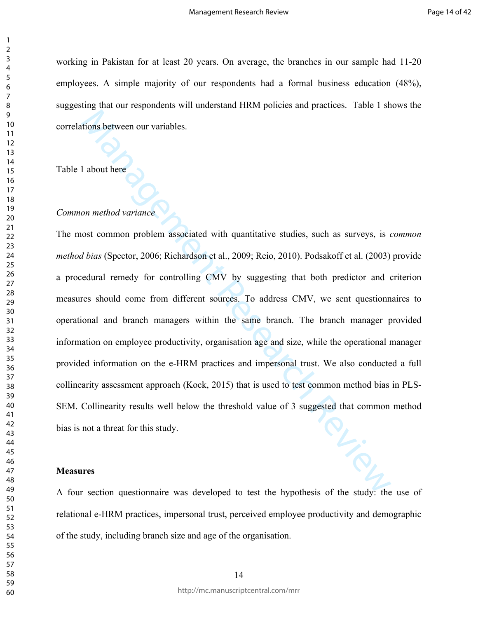working in Pakistan for at least 20 years. On average, the branches in our sample had 11-20 employees. A simple majority of our respondents had a formal business education (48%), suggesting that our respondents will understand HRM policies and practices. Table 1 shows the correlations between our variables.

Table 1 about here

## *Common method variance*

ions between our variables.<br>
a about here<br>
con method variance<br>
content and variance<br>
content and variance<br>
content and variance<br>
content and variance Review Call, 2009; Reio, 2010). Podsakoff et al. (2003)<br>
colural remedy The most common problem associated with quantitative studies, such as surveys, is *common method bias* (Spector, 2006; Richardson et al., 2009; Reio, 2010). Podsakoff et al. (2003) provide a procedural remedy for controlling CMV by suggesting that both predictor and criterion measures should come from different sources. To address CMV, we sent questionnaires to operational and branch managers within the same branch. The branch manager provided information on employee productivity, organisation age and size, while the operational manager provided information on the e-HRM practices and impersonal trust. We also conducted a full collinearity assessment approach (Kock, 2015) that is used to test common method bias in PLS-SEM. Collinearity results well below the threshold value of 3 suggested that common method bias is not a threat for this study.

## **Measures**

A four section questionnaire was developed to test the hypothesis of the study: the use of relational e-HRM practices, impersonal trust, perceived employee productivity and demographic of the study, including branch size and age of the organisation.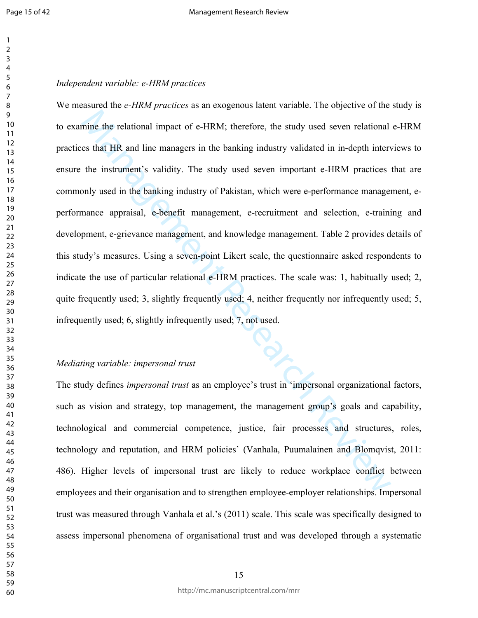## *Independent variable: e-HRM practices*

mine the relational impact of e-HRM; therefore, the study used seven relational<br>es that HR and line managers in the banking industry validated in in-depth inter<br>the instrument's validity. The study used seven important e-H We measured the *e-HRM practices* as an exogenous latent variable. The objective of the study is to examine the relational impact of e-HRM; therefore, the study used seven relational e-HRM practices that HR and line managers in the banking industry validated in in-depth interviews to ensure the instrument's validity. The study used seven important e-HRM practices that are commonly used in the banking industry of Pakistan, which were e-performance management, eperformance appraisal, e-benefit management, e-recruitment and selection, e-training and development, e-grievance management, and knowledge management. Table 2 provides details of this study's measures. Using a seven-point Likert scale, the questionnaire asked respondents to indicate the use of particular relational e-HRM practices. The scale was: 1, habitually used; 2, quite frequently used; 3, slightly frequently used; 4, neither frequently nor infrequently used; 5, infrequently used; 6, slightly infrequently used; 7, not used.

## *Mediating variable: impersonal trust*

The study defines *impersonal trust* as an employee's trust in 'impersonal organizational factors, such as vision and strategy, top management, the management group's goals and capability, technological and commercial competence, justice, fair processes and structures, roles, technology and reputation, and HRM policies' (Vanhala, Puumalainen and Blomqvist, 2011: 486). Higher levels of impersonal trust are likely to reduce workplace conflict between employees and their organisation and to strengthen employee-employer relationships. Impersonal trust was measured through Vanhala et al.'s (2011) scale. This scale was specifically designed to assess impersonal phenomena of organisational trust and was developed through a systematic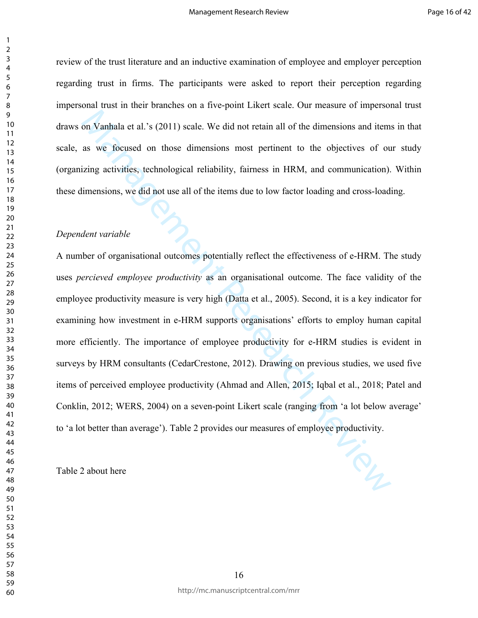review of the trust literature and an inductive examination of employee and employer perception regarding trust in firms. The participants were asked to report their perception regarding impersonal trust in their branches on a five-point Likert scale. Our measure of impersonal trust draws on Vanhala et al.'s (2011) scale. We did not retain all of the dimensions and items in that scale, as we focused on those dimensions most pertinent to the objectives of our study (organizing activities, technological reliability, fairness in HRM, and communication). Within these dimensions, we did not use all of the items due to low factor loading and cross-loading.

## *Dependent variable*

on Vanhala et al.'s (2011) scale. We did not retain all of the dimensions and item<br>as we focused on those dimensions most pertinent to the objectives of ou<br>izing activities, technological reliability, fairness in HRM, and A number of organisational outcomes potentially reflect the effectiveness of e-HRM. The study uses *percieved employee productivity* as an organisational outcome. The face validity of the employee productivity measure is very high (Datta et al., 2005). Second, it is a key indicator for examining how investment in e-HRM supports organisations' efforts to employ human capital more efficiently. The importance of employee productivity for e-HRM studies is evident in surveys by HRM consultants (CedarCrestone, 2012). Drawing on previous studies, we used five items of perceived employee productivity (Ahmad and Allen, 2015; Iqbal et al., 2018; Patel and Conklin, 2012; WERS, 2004) on a seven-point Likert scale (ranging from 'a lot below average' to 'a lot better than average'). Table 2 provides our measures of employee productivity.

Table 2 about here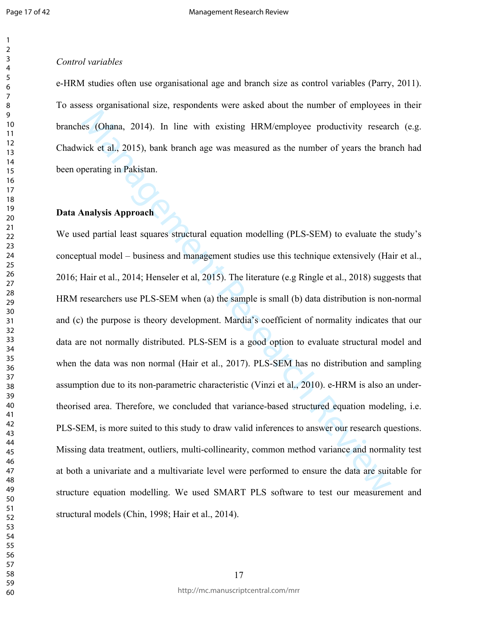## 

## *Control variables*

e-HRM studies often use organisational age and branch size as control variables (Parry, 2011). To assess organisational size, respondents were asked about the number of employees in their branches (Ohana, 2014). In line with existing HRM/employee productivity research (e.g. Chadwick et al., 2015), bank branch age was measured as the number of years the branch had been operating in Pakistan.

## **Data Analysis Approach**

cs (Ohana, 2014). In line with existing HRM/employee productivity research Colorative Research Review Research Review Review Review Review Press the bra<br>perating in Pakistan.<br>Manalysis Approach Review Review Review Review We used partial least squares structural equation modelling (PLS-SEM) to evaluate the study's conceptual model – business and management studies use this technique extensively (Hair et al., 2016; Hair et al., 2014; Henseler et al, 2015). The literature (e.g Ringle et al., 2018) suggests that HRM researchers use PLS-SEM when (a) the sample is small (b) data distribution is non-normal and (c) the purpose is theory development. Mardia's coefficient of normality indicates that our data are not normally distributed. PLS-SEM is a good option to evaluate structural model and when the data was non normal (Hair et al., 2017). PLS-SEM has no distribution and sampling assumption due to its non-parametric characteristic (Vinzi et al., 2010). e-HRM is also an undertheorised area. Therefore, we concluded that variance-based structured equation modeling, i.e. PLS-SEM, is more suited to this study to draw valid inferences to answer our research questions. Missing data treatment, outliers, multi-collinearity, common method variance and normality test at both a univariate and a multivariate level were performed to ensure the data are suitable for structure equation modelling. We used SMART PLS software to test our measurement and structural models (Chin, 1998; Hair et al., 2014).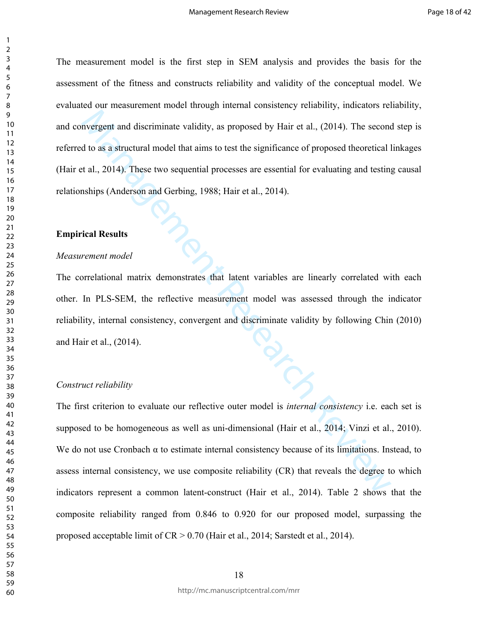The measurement model is the first step in SEM analysis and provides the basis for the assessment of the fitness and constructs reliability and validity of the conceptual model. We evaluated our measurement model through internal consistency reliability, indicators reliability, and convergent and discriminate validity, as proposed by Hair et al., (2014). The second step is referred to as a structural model that aims to test the significance of proposed theoretical linkages (Hair et al., 2014). These two sequential processes are essential for evaluating and testing causal relationships (Anderson and Gerbing, 1988; Hair et al., 2014).

## **Empirical Results**

#### *Measurement model*

The correlational matrix demonstrates that latent variables are linearly correlated with each other. In PLS-SEM, the reflective measurement model was assessed through the indicator reliability, internal consistency, convergent and discriminate validity by following Chin (2010) and Hair et al., (2014).

## *Construct reliability*

mergent and discriminate validity, as proposed by Hair et al., (2014). The second<br>
do as a structural model that aims to test the significance of proposed theoretical 1<br>
tal., 2014). These two sequential processes are esse The first criterion to evaluate our reflective outer model is *internal consistency* i.e. each set is supposed to be homogeneous as well as uni-dimensional (Hair et al., 2014; Vinzi et al., 2010). We do not use Cronbach  $\alpha$  to estimate internal consistency because of its limitations. Instead, to assess internal consistency, we use composite reliability (CR) that reveals the degree to which indicators represent a common latent-construct (Hair et al., 2014). Table 2 shows that the composite reliability ranged from 0.846 to 0.920 for our proposed model, surpassing the proposed acceptable limit of CR > 0.70 (Hair et al., 2014; Sarstedt et al., 2014).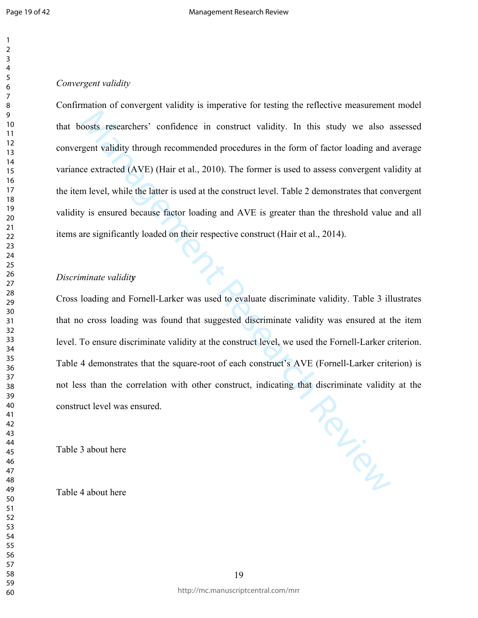## *Convergent validity*

boosts researchers' confidence in construct validity. In this study we also a<br>gent validity through recommended procedures in the form of factor loading and<br>ac extracted (AVE) (Hair et al., 2010). The former is used to ass Confirmation of convergent validity is imperative for testing the reflective measurement model that boosts researchers' confidence in construct validity. In this study we also assessed convergent validity through recommended procedures in the form of factor loading and average variance extracted (AVE) (Hair et al., 2010). The former is used to assess convergent validity at the item level, while the latter is used at the construct level. Table 2 demonstrates that convergent validity is ensured because factor loading and AVE is greater than the threshold value and all items are significantly loaded on their respective construct (Hair et al., 2014).

## *Discriminate validity*

Cross loading and Fornell-Larker was used to evaluate discriminate validity. Table 3 illustrates that no cross loading was found that suggested discriminate validity was ensured at the item level. To ensure discriminate validity at the construct level, we used the Fornell-Larker criterion. Table 4 demonstrates that the square-root of each construct's AVE (Fornell-Larker criterion) is not less than the correlation with other construct, indicating that discriminate validity at the construct level was ensured.

Table 3 about here

Table 4 about here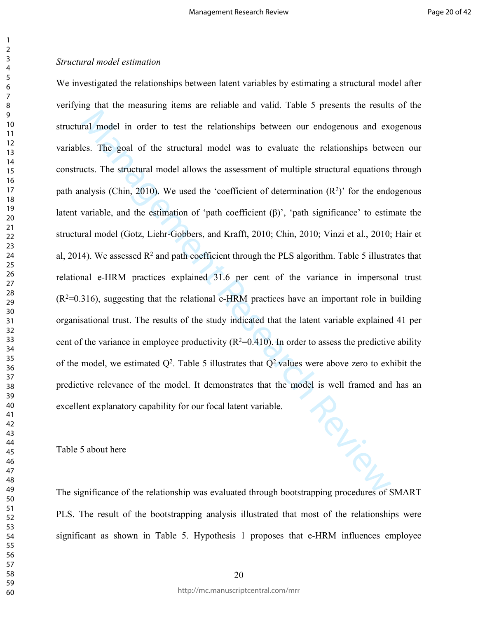Example 1 and order to test the relationships between our endogenous and exections.<br>The goal of the structural model was to evaluate the relationships between<br>these search Reviewital model allows the assessment of multipl We investigated the relationships between latent variables by estimating a structural model after verifying that the measuring items are reliable and valid. Table 5 presents the results of the structural model in order to test the relationships between our endogenous and exogenous variables. The goal of the structural model was to evaluate the relationships between our constructs. The structural model allows the assessment of multiple structural equations through path analysis (Chin, 2010). We used the 'coefficient of determination  $(R^2)$ ' for the endogenous latent variable, and the estimation of 'path coefficient (β)', 'path significance' to estimate the structural model (Gotz, Liehr-Gobbers, and Krafft, 2010; Chin, 2010; Vinzi et al., 2010; Hair et al, 2014). We assessed  $R^2$  and path coefficient through the PLS algorithm. Table 5 illustrates that relational e-HRM practices explained 31.6 per cent of the variance in impersonal trust  $(R<sup>2</sup>=0.316)$ , suggesting that the relational e-HRM practices have an important role in building organisational trust. The results of the study indicated that the latent variable explained 41 per cent of the variance in employee productivity  $(R^2=0.410)$ . In order to assess the predictive ability of the model, we estimated  $Q^2$ . Table 5 illustrates that  $Q^2$  values were above zero to exhibit the predictive relevance of the model. It demonstrates that the model is well framed and has an excellent explanatory capability for our focal latent variable. excellent explanatory capability for our focal latent variable.

Table 5 about here

The significance of the relationship was evaluated through bootstrapping procedures of SMART PLS. The result of the bootstrapping analysis illustrated that most of the relationships were significant as shown in Table 5. Hypothesis 1 proposes that e-HRM influences employee

http://mc.manuscriptcentral.com/mrr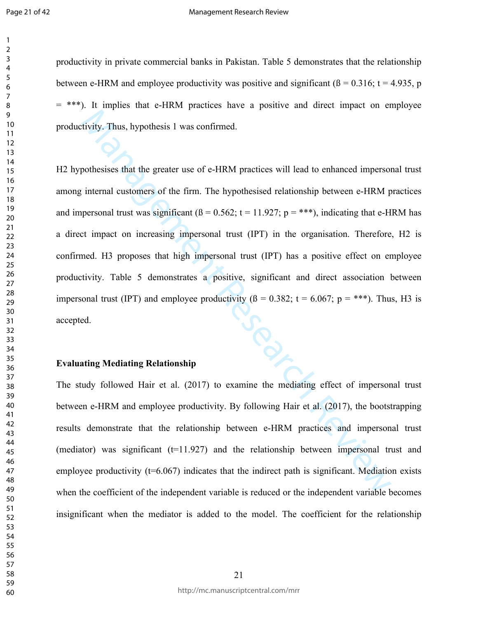#### Management Research Review

productivity in private commercial banks in Pakistan. Table 5 demonstrates that the relationship between e-HRM and employee productivity was positive and significant ( $\beta$  = 0.316; t = 4.935, p  $=$  \*\*\*). It implies that e-HRM practices have a positive and direct impact on employee productivity. Thus, hypothesis 1 was confirmed.

tivity. Thus, hypothesis 1 was confirmed.<br>
strivity. Thus, hypothesis 1 was confirmed.<br>
pothesises that the greater use of e-HRM practices will lead to enhanced imperson<br>
internal customers of the firm. The hypothesised r H2 hypothesises that the greater use of e-HRM practices will lead to enhanced impersonal trust among internal customers of the firm. The hypothesised relationship between e-HRM practices and impersonal trust was significant  $(β = 0.562; t = 11.927; p = ***)$ , indicating that e-HRM has a direct impact on increasing impersonal trust (IPT) in the organisation. Therefore, H2 is confirmed. H3 proposes that high impersonal trust (IPT) has a positive effect on employee productivity. Table 5 demonstrates a positive, significant and direct association between impersonal trust (IPT) and employee productivity ( $\beta = 0.382$ ;  $t = 6.067$ ;  $p =$ \*\*\*). Thus, H3 is accepted.

## **Evaluating Mediating Relationship**

The study followed Hair et al. (2017) to examine the mediating effect of impersonal trust between e-HRM and employee productivity. By following Hair et al. (2017), the bootstrapping results demonstrate that the relationship between e-HRM practices and impersonal trust (mediator) was significant  $(t=11.927)$  and the relationship between impersonal trust and employee productivity  $(t=6.067)$  indicates that the indirect path is significant. Mediation exists when the coefficient of the independent variable is reduced or the independent variable becomes insignificant when the mediator is added to the model. The coefficient for the relationship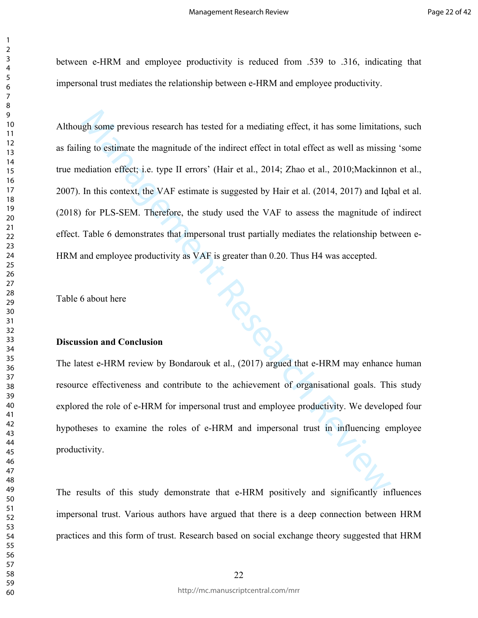between e-HRM and employee productivity is reduced from .539 to .316, indicating that impersonal trust mediates the relationship between e-HRM and employee productivity.

gh some previous research has tested for a mediating effect, it has some limitation<br>g to estimate the magnitude of the indirect effect in total effect as well as missin<br>ediation effect; i.e. type II errors' (Hair et al., 2 Although some previous research has tested for a mediating effect, it has some limitations, such as failing to estimate the magnitude of the indirect effect in total effect as well as missing 'some true mediation effect; i.e. type II errors' (Hair et al., 2014; Zhao et al., 2010;Mackinnon et al., 2007). In this context, the VAF estimate is suggested by Hair et al. (2014, 2017) and Iqbal et al. (2018) for PLS-SEM. Therefore, the study used the VAF to assess the magnitude of indirect effect. Table 6 demonstrates that impersonal trust partially mediates the relationship between e-HRM and employee productivity as VAF is greater than 0.20. Thus H4 was accepted.

Table 6 about here

## **Discussion and Conclusion**

The latest e-HRM review by Bondarouk et al., (2017) argued that e-HRM may enhance human resource effectiveness and contribute to the achievement of organisational goals. This study explored the role of e-HRM for impersonal trust and employee productivity. We developed four hypotheses to examine the roles of e-HRM and impersonal trust in influencing employee productivity.

The results of this study demonstrate that e-HRM positively and significantly influences impersonal trust. Various authors have argued that there is a deep connection between HRM practices and this form of trust. Research based on social exchange theory suggested that HRM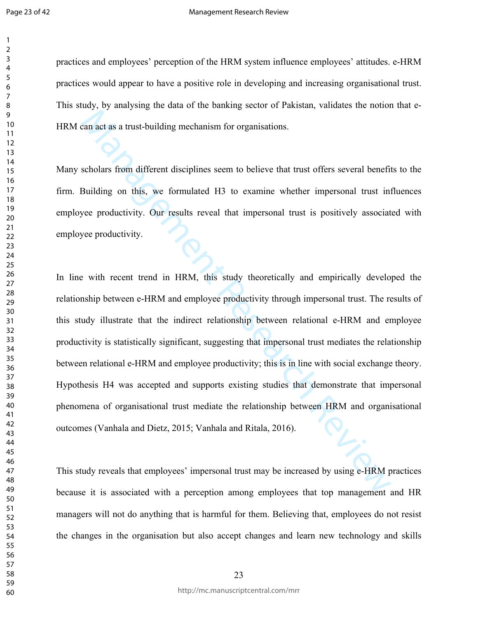#### Management Research Review

practices and employees' perception of the HRM system influence employees' attitudes. e-HRM practices would appear to have a positive role in developing and increasing organisational trust. This study, by analysing the data of the banking sector of Pakistan, validates the notion that e-HRM can act as a trust-building mechanism for organisations.

Many scholars from different disciplines seem to believe that trust offers several benefits to the firm. Building on this, we formulated H3 to examine whether impersonal trust influences employee productivity. Our results reveal that impersonal trust is positively associated with employee productivity.

Example and a transformation and the interest of the increased by using e-HRM paid and Direct at the search Review and The is several to the productivity. Our results reveal that impersional trust offers several beneficial In line with recent trend in HRM, this study theoretically and empirically developed the relationship between e-HRM and employee productivity through impersonal trust. The results of this study illustrate that the indirect relationship between relational e-HRM and employee productivity is statistically significant, suggesting that impersonal trust mediates the relationship between relational e-HRM and employee productivity; this is in line with social exchange theory. Hypothesis H4 was accepted and supports existing studies that demonstrate that impersonal phenomena of organisational trust mediate the relationship between HRM and organisational outcomes (Vanhala and Dietz, 2015; Vanhala and Ritala, 2016).

This study reveals that employees' impersonal trust may be increased by using e-HRM practices because it is associated with a perception among employees that top management and HR managers will not do anything that is harmful for them. Believing that, employees do not resist the changes in the organisation but also accept changes and learn new technology and skills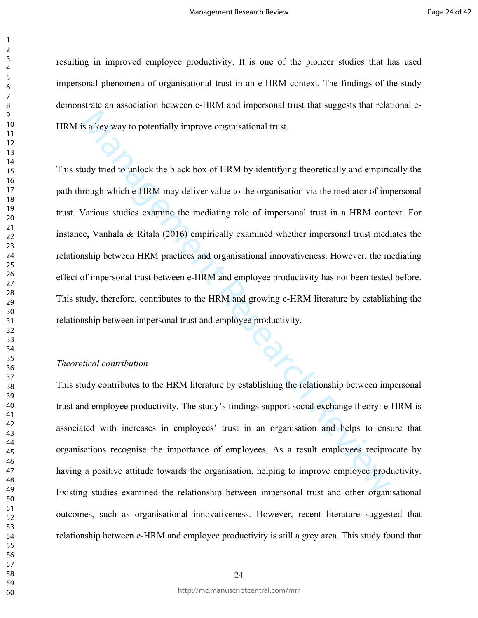resulting in improved employee productivity. It is one of the pioneer studies that has used impersonal phenomena of organisational trust in an e-HRM context. The findings of the study demonstrate an association between e-HRM and impersonal trust that suggests that relational e-HRM is a key way to potentially improve organisational trust.

is a key way to potentially improve organisational trust.<br>
udy tried to unlock the black box of HRM by identifying theoretically and empiric<br>
rough which e-HRM may deliver value to the organisation via the mediator of impe This study tried to unlock the black box of HRM by identifying theoretically and empirically the path through which e-HRM may deliver value to the organisation via the mediator of impersonal trust. Various studies examine the mediating role of impersonal trust in a HRM context. For instance, Vanhala & Ritala (2016) empirically examined whether impersonal trust mediates the relationship between HRM practices and organisational innovativeness. However, the mediating effect of impersonal trust between e-HRM and employee productivity has not been tested before. This study, therefore, contributes to the HRM and growing e-HRM literature by establishing the relationship between impersonal trust and employee productivity.

## *Theoretical contribution*

This study contributes to the HRM literature by establishing the relationship between impersonal trust and employee productivity. The study's findings support social exchange theory: e-HRM is associated with increases in employees' trust in an organisation and helps to ensure that organisations recognise the importance of employees. As a result employees reciprocate by having a positive attitude towards the organisation, helping to improve employee productivity. Existing studies examined the relationship between impersonal trust and other organisational outcomes, such as organisational innovativeness. However, recent literature suggested that relationship between e-HRM and employee productivity is still a grey area. This study found that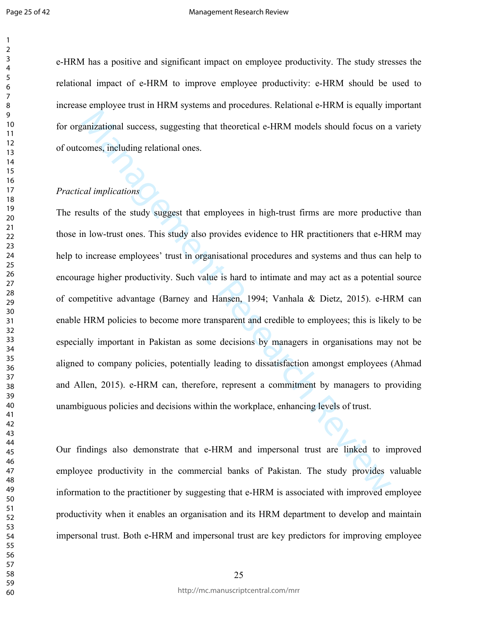e-HRM has a positive and significant impact on employee productivity. The study stresses the relational impact of e-HRM to improve employee productivity: e-HRM should be used to increase employee trust in HRM systems and procedures. Relational e-HRM is equally important for organizational success, suggesting that theoretical e-HRM models should focus on a variety of outcomes, including relational ones.

## *Practical implications*

anizational success, suggesting that theoretical e-HRM models should focus on a<br>comes, including relational ones.<br>Lead implications<br>sults of the study suggest that employees in high-trust firms are more production<br>in low-t The results of the study suggest that employees in high-trust firms are more productive than those in low-trust ones. This study also provides evidence to HR practitioners that e-HRM may help to increase employees' trust in organisational procedures and systems and thus can help to encourage higher productivity. Such value is hard to intimate and may act as a potential source of competitive advantage (Barney and Hansen, 1994; Vanhala & Dietz, 2015). e-HRM can enable HRM policies to become more transparent and credible to employees; this is likely to be especially important in Pakistan as some decisions by managers in organisations may not be aligned to company policies, potentially leading to dissatisfaction amongst employees (Ahmad and Allen, 2015). e-HRM can, therefore, represent a commitment by managers to providing unambiguous policies and decisions within the workplace, enhancing levels of trust.

Our findings also demonstrate that e-HRM and impersonal trust are linked to improved employee productivity in the commercial banks of Pakistan. The study provides valuable information to the practitioner by suggesting that e-HRM is associated with improved employee productivity when it enables an organisation and its HRM department to develop and maintain impersonal trust. Both e-HRM and impersonal trust are key predictors for improving employee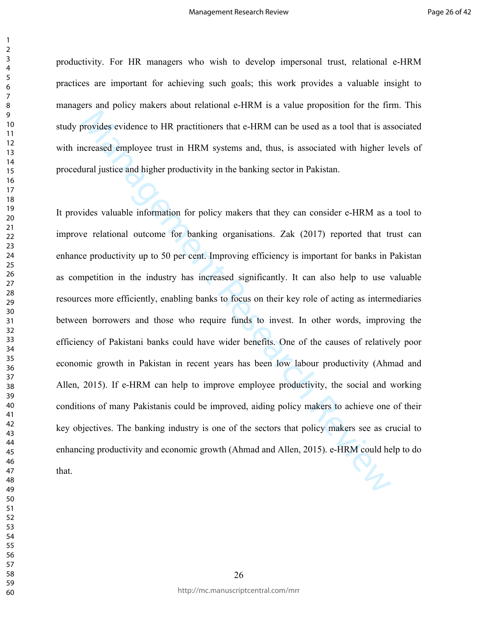productivity. For HR managers who wish to develop impersonal trust, relational e-HRM practices are important for achieving such goals; this work provides a valuable insight to managers and policy makers about relational e-HRM is a value proposition for the firm. This study provides evidence to HR practitioners that e-HRM can be used as a tool that is associated with increased employee trust in HRM systems and, thus, is associated with higher levels of procedural justice and higher productivity in the banking sector in Pakistan.

browides evidence to HR practitioners that e-HRM can be used as a tool that is as<br>recassed employee trust in HRM systems and, thus, is associated with higher land<br>justice and higher productivity in the banking sector in Pa It provides valuable information for policy makers that they can consider e-HRM as a tool to improve relational outcome for banking organisations. Zak (2017) reported that trust can enhance productivity up to 50 per cent. Improving efficiency is important for banks in Pakistan as competition in the industry has increased significantly. It can also help to use valuable resources more efficiently, enabling banks to focus on their key role of acting as intermediaries between borrowers and those who require funds to invest. In other words, improving the efficiency of Pakistani banks could have wider benefits. One of the causes of relatively poor economic growth in Pakistan in recent years has been low labour productivity (Ahmad and Allen, 2015). If e-HRM can help to improve employee productivity, the social and working conditions of many Pakistanis could be improved, aiding policy makers to achieve one of their key objectives. The banking industry is one of the sectors that policy makers see as crucial to enhancing productivity and economic growth (Ahmad and Allen, 2015). e-HRM could help to do that.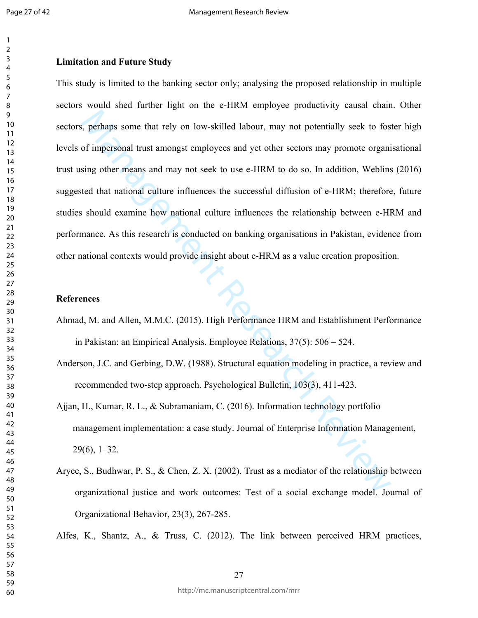## **Limitation and Future Study**

et perhaps some that rely on low-skilled labour, may not potentially seek to fost of impersonal trust amongst employees and yet other sectors may promote organising other means and may not seek to use e-HRM to do so. In ad This study is limited to the banking sector only; analysing the proposed relationship in multiple sectors would shed further light on the e-HRM employee productivity causal chain. Other sectors, perhaps some that rely on low-skilled labour, may not potentially seek to foster high levels of impersonal trust amongst employees and yet other sectors may promote organisational trust using other means and may not seek to use e-HRM to do so. In addition, Weblins (2016) suggested that national culture influences the successful diffusion of e-HRM; therefore, future studies should examine how national culture influences the relationship between e-HRM and performance. As this research is conducted on banking organisations in Pakistan, evidence from other national contexts would provide insight about e-HRM as a value creation proposition.

## **References**

- Ahmad, M. and Allen, M.M.C. (2015). High Performance HRM and Establishment Performance in Pakistan: an Empirical Analysis. Employee Relations, 37(5): 506 – 524.
- Anderson, J.C. and Gerbing, D.W. (1988). Structural equation modeling in practice, a review and recommended two-step approach. Psychological Bulletin, 103(3), 411-423.
- Ajjan, H., Kumar, R. L., & Subramaniam, C. (2016). Information technology portfolio management implementation: a case study. Journal of Enterprise Information Management, 29(6), 1–32.
- Aryee, S., Budhwar, P. S., & Chen, Z. X. (2002). Trust as a mediator of the relationship between organizational justice and work outcomes: Test of a social exchange model. Journal of Organizational Behavior, 23(3), 267-285.

Alfes, K., Shantz, A., & Truss, C. (2012). The link between perceived HRM practices,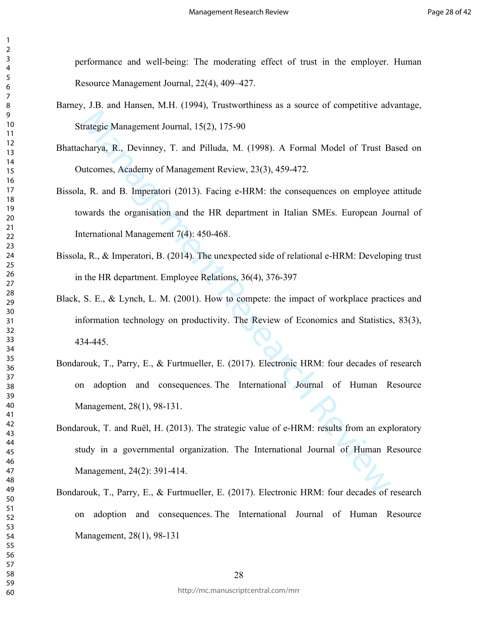performance and well-being: The moderating effect of trust in the employer. Human Resource Management Journal, 22(4), 409–427.

- Barney, J.B. and Hansen, M.H. (1994), Trustworthiness as a source of competitive advantage, Strategic Management Journal, 15(2), 175-90
- Bhattacharya, R., Devinney, T. and Pilluda, M. (1998). A Formal Model of Trust Based on Outcomes, Academy of Management Review, 23(3), 459-472.
- Bissola, R. and B. Imperatori (2013). Facing e-HRM: the consequences on employee attitude towards the organisation and the HR department in Italian SMEs. European Journal of International Management 7(4): 450-468.
- Bissola, R., & Imperatori, B. (2014). The unexpected side of relational e-HRM: Developing trust in the HR department. Employee Relations, 36(4), 376-397
- Black, S. E., & Lynch, L. M. (2001). How to compete: the impact of workplace practices and information technology on productivity. The Review of Economics and Statistics, 83(3), 434-445.
- Irategie Management Journal, 15(2), 175-90<br>
Irategie Management Journal, 15(2), 175-90<br>
Irategie Management Review, 23(3), 459-472.<br>
I.e., R. and B. Imperatori (2013). Facing e-HRM: the consequences on employee<br>
wards the Bondarouk, T., Parry, E., & Furtmueller, E. (2017). Electronic HRM: four decades of research on adoption and consequences. The International Journal of Human Resource Management, 28(1), 98-131.
- Bondarouk, T. and Ruël, H. (2013). The strategic value of e-HRM: results from an exploratory study in a governmental organization. The International Journal of Human Resource Management, 24(2): 391-414.
- Bondarouk, T., Parry, E., & Furtmueller, E. (2017). Electronic HRM: four decades of research on adoption and consequences. The International Journal of Human Resource Management, 28(1), 98-131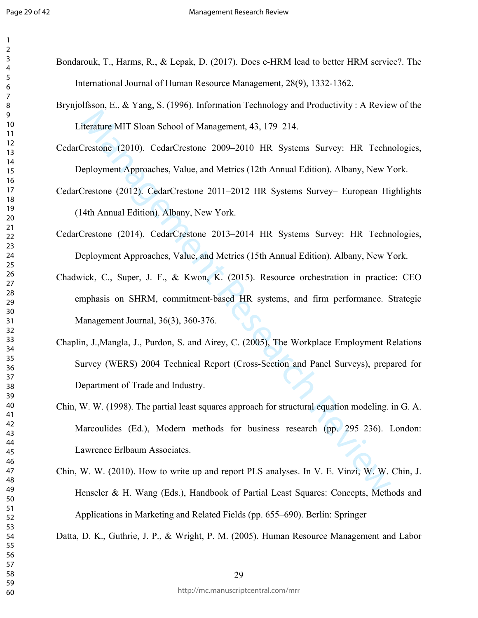- Bondarouk, T., Harms, R., & Lepak, D. (2017). Does e-HRM lead to better HRM service?. The International Journal of Human Resource Management, 28(9), 1332-1362.
- Brynjolfsson, E., & Yang, S. (1996). Information Technology and Productivity : A Review of the Literature MIT Sloan School of Management, 43, 179–214.
- CedarCrestone (2010). CedarCrestone 2009–2010 HR Systems Survey: HR Technologies, Deployment Approaches, Value, and Metrics (12th Annual Edition). Albany, New York.
- CedarCrestone (2012). CedarCrestone 2011–2012 HR Systems Survey– European Highlights (14th Annual Edition). Albany, New York.
- CedarCrestone (2014). CedarCrestone 2013–2014 HR Systems Survey: HR Technologies, Deployment Approaches, Value, and Metrics (15th Annual Edition). Albany, New York.
- iterature MIT Sloan School of Management, 43, 179–214.<br>
Crestone (2010). CedarCrestone 2009-2010 HR Systems Survey: HR Techn<br>
eployment Approaches, Value, and Metrics (12th Amual Edition). Albany, New Y<br>
Crestone (2012). C Chadwick, C., Super, J. F., & Kwon, K. (2015). Resource orchestration in practice: CEO emphasis on SHRM, commitment‐based HR systems, and firm performance. Strategic Management Journal, 36(3), 360-376.
- Chaplin, J.,Mangla, J., Purdon, S. and Airey, C. (2005), The Workplace Employment Relations Survey (WERS) 2004 Technical Report (Cross-Section and Panel Surveys), prepared for Department of Trade and Industry.
- Chin, W. W. (1998). The partial least squares approach for structural equation modeling. in G. A. Marcoulides (Ed.), Modern methods for business research (pp. 295–236). London: Lawrence Erlbaum Associates.
- Chin, W. W. (2010). How to write up and report PLS analyses. In V. E. Vinzi, W. W. Chin, J. Henseler & H. Wang (Eds.), Handbook of Partial Least Squares: Concepts, Methods and Applications in Marketing and Related Fields (pp. 655–690). Berlin: Springer

Datta, D. K., Guthrie, J. P., & Wright, P. M. (2005). Human Resource Management and Labor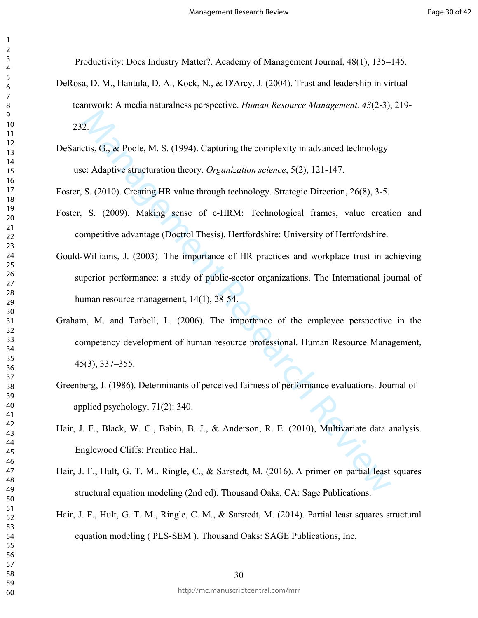Productivity: Does Industry Matter?. Academy of Management Journal, 48(1), 135–145.

- DeRosa, D. M., Hantula, D. A., Kock, N., & D'Arcy, J. (2004). Trust and leadership in virtual teamwork: A media naturalness perspective. *Human Resource Management. 43*(2‐3), 219-  $232.7$
- DeSanctis, G., & Poole, M. S. (1994). Capturing the complexity in advanced technology use: Adaptive structuration theory. *Organization science*, 5(2), 121-147.

Foster, S. (2010). Creating HR value through technology. Strategic Direction, 26(8), 3-5.

- Foster, S. (2009). Making sense of e-HRM: Technological frames, value creation and competitive advantage (Doctrol Thesis). Hertfordshire: University of Hertfordshire.
- Gould-Williams, J. (2003). The importance of HR practices and workplace trust in achieving superior performance: a study of public-sector organizations. The International journal of human resource management, 14(1), 28-54.
- 2.<br>
2. etis, G, & Poole, M. S. (1994). Capturing the complexity in advanced technology<br>
e: Adaptive structuration theory. *Organization science*, 5(2), 121-147.<br>
S. (2010). Creating HR value through technology. Strategic Graham, M. and Tarbell, L. (2006). The importance of the employee perspective in the competency development of human resource professional. Human Resource Management, 45(3), 337–355.
- Greenberg, J. (1986). Determinants of perceived fairness of performance evaluations. Journal of applied psychology, 71(2): 340.
- Hair, J. F., Black, W. C., Babin, B. J., & Anderson, R. E. (2010), Multivariate data analysis. Englewood Cliffs: Prentice Hall.
- Hair, J. F., Hult, G. T. M., Ringle, C., & Sarstedt, M. (2016). A primer on partial least squares structural equation modeling (2nd ed). Thousand Oaks, CA: Sage Publications.
- Hair, J. F., Hult, G. T. M., Ringle, C. M., & Sarstedt, M. (2014). Partial least squares structural equation modeling ( PLS-SEM ). Thousand Oaks: SAGE Publications, Inc.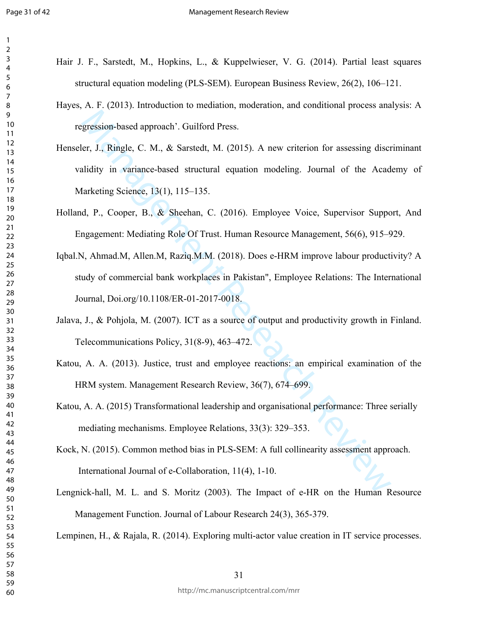- Hair J. F., Sarstedt, M., Hopkins, L., & Kuppelwieser, V. G. (2014). Partial least squares structural equation modeling (PLS-SEM). European Business Review, 26(2), 106–121.
- Hayes, A. F. (2013). Introduction to mediation, moderation, and conditional process analysis: A regression-based approach'. Guilford Press.
- Expression-based approach'. Guilford Press.<br>
er, J., Ringle, C. M., & Sarstedt, M. (2015). A new criterion for assessing discretion, F., T., Ringle, C. M., & Sarstedt, M. (2015). A new criterion for assessing discretidity Henseler, J., Ringle, C. M., & Sarstedt, M. (2015). A new criterion for assessing discriminant validity in variance-based structural equation modeling. Journal of the Academy of Marketing Science, 13(1), 115–135.
- Holland, P., Cooper, B., & Sheehan, C. (2016). Employee Voice, Supervisor Support, And Engagement: Mediating Role Of Trust. Human Resource Management, 56(6), 915–929.
- Iqbal.N, Ahmad.M, Allen.M, Raziq.M.M. (2018). Does e-HRM improve labour productivity? A study of commercial bank workplaces in Pakistan", Employee Relations: The International Journal, Doi.org/10.1108/ER-01-2017-0018.
- Jalava, J., & Pohjola, M. (2007). ICT as a source of output and productivity growth in Finland. Telecommunications Policy, 31(8-9), 463–472.
- Katou, A. A. (2013). Justice, trust and employee reactions: an empirical examination of the HRM system. Management Research Review, 36(7), 674–699.
- Katou, A. A. (2015) Transformational leadership and organisational performance: Three serially mediating mechanisms. Employee Relations, 33(3): 329–353.
- Kock, N. (2015). Common method bias in PLS-SEM: A full collinearity assessment approach. International Journal of e-Collaboration, 11(4), 1-10.
- Lengnick-hall, M. L. and S. Moritz (2003). The Impact of e-HR on the Human Resource Management Function. Journal of Labour Research 24(3), 365-379.

Lempinen, H., & Rajala, R. (2014). Exploring multi-actor value creation in IT service processes.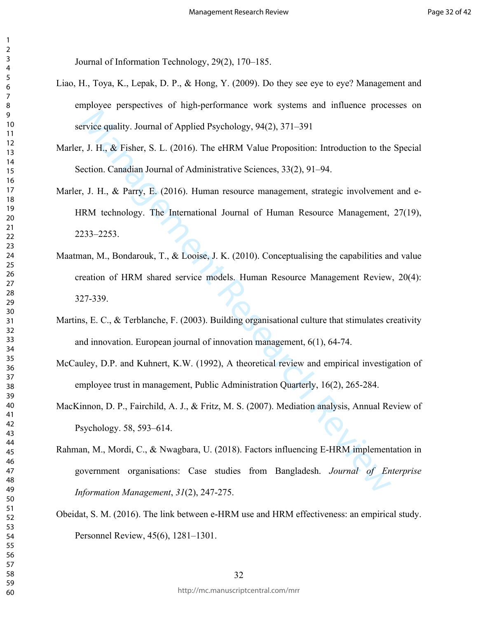Journal of Information Technology, 29(2), 170–185.

- Liao, H., Toya, K., Lepak, D. P., & Hong, Y. (2009). Do they see eye to eye? Management and employee perspectives of high-performance work systems and influence processes on service quality. Journal of Applied Psychology, 94(2), 371–391
- Marler, J. H., & Fisher, S. L. (2016). The eHRM Value Proposition: Introduction to the Special Section. Canadian Journal of Administrative Sciences, 33(2), 91–94.
- Marler, J. H., & Parry, E. (2016). Human resource management, strategic involvement and e-HRM technology. The International Journal of Human Resource Management, 27(19), 2233–2253.
- Evice quality. Journal of Applied Psychology, 94(2), 371–391<br>
1. J. H., & Fisher, S. L. (2016). The eHRM Value Proposition: Introduction to the<br>
ection. Canadian Journal of Administrative Sciences, 33(2), 91–94.<br>
1. J. H. Maatman, M., Bondarouk, T., & Looise, J. K. (2010). Conceptualising the capabilities and value creation of HRM shared service models. Human Resource Management Review, 20(4): 327-339.
- Martins, E. C., & Terblanche, F. (2003). Building organisational culture that stimulates creativity and innovation. European journal of innovation management, 6(1), 64-74.
- McCauley, D.P. and Kuhnert, K.W. (1992), A theoretical review and empirical investigation of employee trust in management, Public Administration Quarterly, 16(2), 265-284.
- MacKinnon, D. P., Fairchild, A. J., & Fritz, M. S. (2007). Mediation analysis, Annual Review of Psychology. 58, 593–614.
- Rahman, M., Mordi, C., & Nwagbara, U. (2018). Factors influencing E-HRM implementation in government organisations: Case studies from Bangladesh. *Journal of Enterprise Information Management*, *31*(2), 247-275.
- Obeidat, S. M. (2016). The link between e-HRM use and HRM effectiveness: an empirical study. Personnel Review, 45(6), 1281–1301.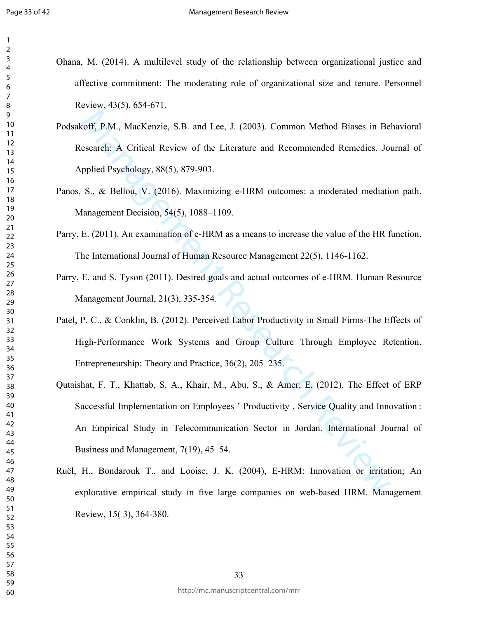| Ohana, M. (2014). A multilevel study of the relationship between organizational justice and |  |  |  |
|---------------------------------------------------------------------------------------------|--|--|--|
| affective commitment: The moderating role of organizational size and tenure. Personnel      |  |  |  |
| Review, $43(5)$ , $654-671$ .                                                               |  |  |  |

- Podsakoff, P.M., MacKenzie, S.B. and Lee, J. (2003). Common Method Biases in Behavioral Research: A Critical Review of the Literature and Recommended Remedies. Journal of Applied Psychology, 88(5), 879-903.
- Panos, S., & Bellou, V. (2016). Maximizing e-HRM outcomes: a moderated mediation path. Management Decision, 54(5), 1088–1109.
- Parry, E. (2011). An examination of e-HRM as a means to increase the value of the HR function. The International Journal of Human Resource Management 22(5), 1146-1162.
- Parry, E. and S. Tyson (2011). Desired goals and actual outcomes of e-HRM. Human Resource Management Journal, 21(3), 335-354.
- Patel, P. C., & Conklin, B. (2012). Perceived Labor Productivity in Small Firms-The Effects of High-Performance Work Systems and Group Culture Through Employee Retention. Entrepreneurship: Theory and Practice, 36(2), 205–235.
- coff, P.M., MacKenzie, S.B. and Lee, J. (2003). Common Method Biases in Beararch: A Critical Review of the Literature and Recommended Remedies. Jordinal Review of the Literature and Recommended Remedies. Jordinal Psycholog Qutaishat, F. T., Khattab, S. A., Khair, M., Abu, S., & Amer, E. (2012). The Effect of ERP Successful Implementation on Employees ' Productivity , Service Quality and Innovation : An Empirical Study in Telecommunication Sector in Jordan. International Journal of Business and Management, 7(19), 45–54.
- Ruël, H., Bondarouk T., and Looise, J. K. (2004), E-HRM: Innovation or irritation; An explorative empirical study in five large companies on web-based HRM. Management Review, 15( 3), 364-380.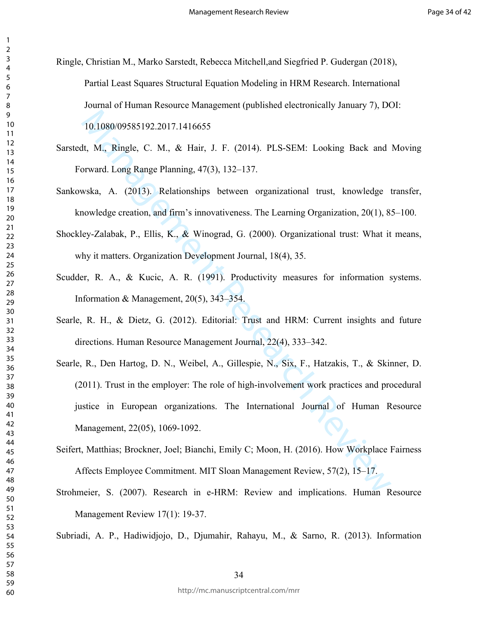Ringle, Christian M., Marko Sarstedt, Rebecca Mitchell,and Siegfried P. Gudergan (2018), Partial Least Squares Structural Equation Modeling in HRM Research. International Journal of Human Resource Management (published electronically January 7), DOI: 10.1080/09585192.2017.1416655

- Sarstedt, M., Ringle, C. M., & Hair, J. F. (2014). PLS-SEM: Looking Back and Moving Forward. Long Range Planning, 47(3), 132–137.
- Sankowska, A. (2013). Relationships between organizational trust, knowledge transfer, knowledge creation, and firm's innovativeness. The Learning Organization, 20(1), 85–100.
- Shockley-Zalabak, P., Ellis, K., & Winograd, G. (2000). Organizational trust: What it means, why it matters. Organization Development Journal, 18(4), 35.
- Scudder, R. A., & Kucic, A. R. (1991). Productivity measures for information systems. Information & Management, 20(5), 343–354.
- Searle, R. H., & Dietz, G. (2012). Editorial: Trust and HRM: Current insights and future directions. Human Resource Management Journal, 22(4), 333–342.
- 10.1080/09585192.2017.1416655<br>
11.1080/09585192.2017.1416655<br>
11. M., Ringle, C. M., & Hair, J. F. (2014). PLS-SEM: Looking Back and<br>
11. M., Ringle, C. M., & Hair, J. F. (2014). PLS-SEM: Looking Back and<br>
11. Mow and Area Searle, R., Den Hartog, D. N., Weibel, A., Gillespie, N., Six, F., Hatzakis, T., & Skinner, D. (2011). Trust in the employer: The role of high-involvement work practices and procedural justice in European organizations. The International Journal of Human Resource Management, 22(05), 1069-1092.
- Seifert, Matthias; Brockner, Joel; Bianchi, Emily C; Moon, H. (2016). How Workplace Fairness Affects Employee Commitment. MIT Sloan Management Review, 57(2), 15–17.
- Strohmeier, S. (2007). Research in e-HRM: Review and implications. Human Resource Management Review 17(1): 19-37.

Subriadi, A. P., Hadiwidjojo, D., Djumahir, Rahayu, M., & Sarno, R. (2013). Information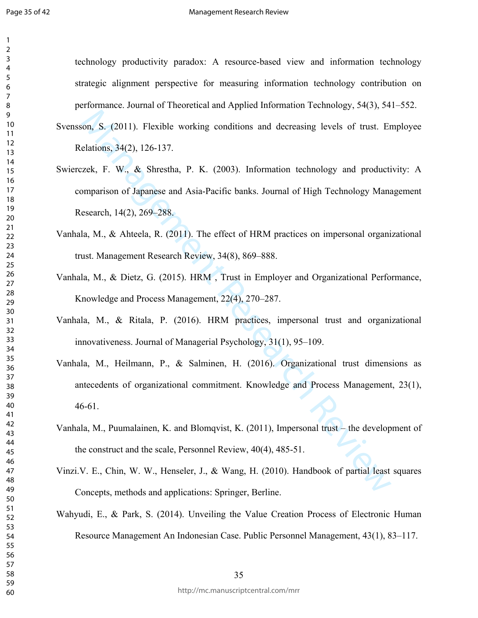technology productivity paradox: A resource-based view and information technology strategic alignment perspective for measuring information technology contribution on performance. Journal of Theoretical and Applied Information Technology, 54(3), 541–552.

- Svensson, S. (2011). Flexible working conditions and decreasing levels of trust. Employee Relations, 34(2), 126-137.
- on, S. (2011). Flexible working conditions and decreasing levels of trust. Ententions, 34(2), 126-137.<br>
Elations, 34(2), 126-137.<br>
Elations, 34(2), 126-137.<br>
Elections, 44(2), 269-288.<br>
I.a, M., & Ahteela, R. (2011). The e Swierczek, F. W., & Shrestha, P. K. (2003). Information technology and productivity: A comparison of Japanese and Asia-Pacific banks. Journal of High Technology Management Research, 14(2), 269–288.
- Vanhala, M., & Ahteela, R. (2011). The effect of HRM practices on impersonal organizational trust. Management Research Review, 34(8), 869–888.
- Vanhala, M., & Dietz, G. (2015). HRM , Trust in Employer and Organizational Performance, Knowledge and Process Management, 22(4), 270–287.
- Vanhala, M., & Ritala, P. (2016). HRM practices, impersonal trust and organizational innovativeness. Journal of Managerial Psychology, 31(1), 95–109.
- Vanhala, M., Heilmann, P., & Salminen, H. (2016). Organizational trust dimensions as antecedents of organizational commitment. Knowledge and Process Management, 23(1), 46-61.
- Vanhala, M., Puumalainen, K. and Blomqvist, K. (2011), Impersonal trust the development of the construct and the scale, Personnel Review, 40(4), 485-51.
- Vinzi.V. E., Chin, W. W., Henseler, J., & Wang, H. (2010). Handbook of partial least squares Concepts, methods and applications: Springer, Berline.
- Wahyudi, E., & Park, S. (2014). Unveiling the Value Creation Process of Electronic Human Resource Management An Indonesian Case. Public Personnel Management, 43(1), 83–117.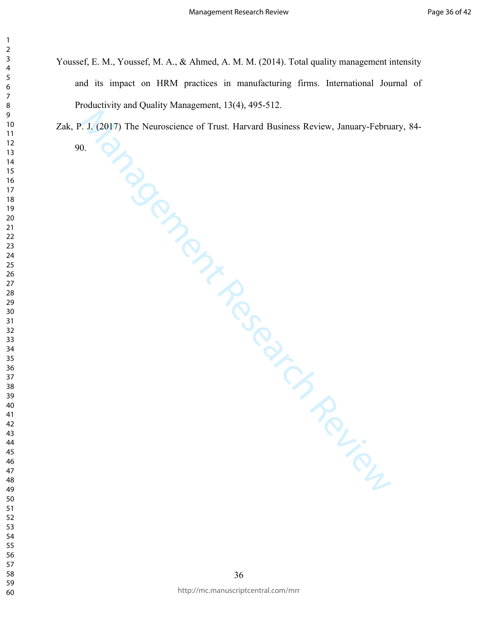Youssef, E. M., Youssef, M. A., & Ahmed, A. M. M. (2014). Total quality management intensity and its impact on HRM practices in manufacturing firms. International Journal of Productivity and Quality Management, 13(4), 495-512.

 $M_{\odot}$ <br>  $M_{\odot}$ <br>  $M_{\odot}$ <br>  $M_{\odot}$ <br>  $M_{\odot}$ <br>  $M_{\odot}$ <br>  $M_{\odot}$ <br>  $M_{\odot}$ Zak, P. J. (2017) The Neuroscience of Trust. Harvard Business Review, January-February, 84-

90.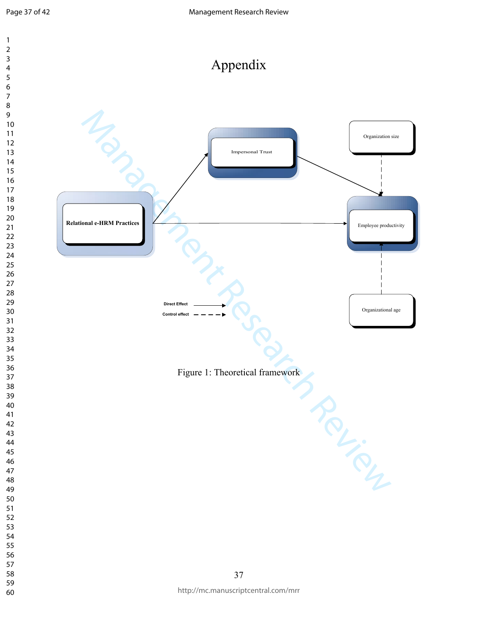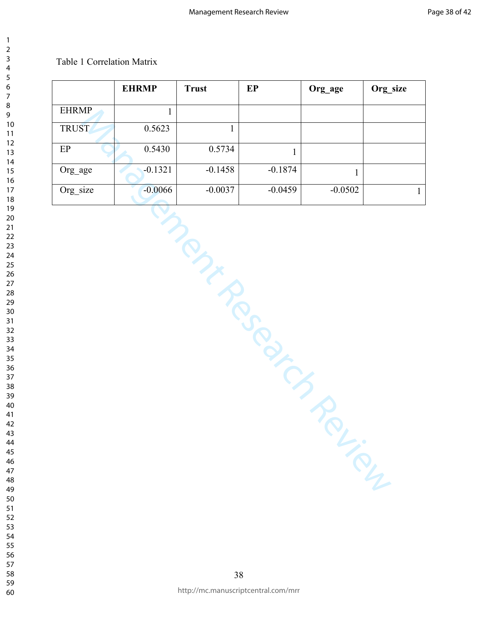## Table 1 Correlation Matrix

|              | <b>EHRMP</b> | <b>Trust</b> | $\mathbf{E}\mathbf{P}$ | Org_age      | Org_size     |
|--------------|--------------|--------------|------------------------|--------------|--------------|
| <b>EHRMP</b> | $\mathbf{1}$ |              |                        |              |              |
| <b>TRUST</b> | 0.5623       | $\mathbf{1}$ |                        |              |              |
| $\rm EP$     | 0.5430       | 0.5734       | $\mathbf{1}$           |              |              |
| Org_age      | $-0.1321$    | $-0.1458$    | $-0.1874$              | $\mathbf{1}$ |              |
| Org_size     | $-0.0066$    | $-0.0037$    | $-0.0459$              | $-0.0502$    | $\mathbf{1}$ |
|              |              | in p         | TROUTED                | <b>PL-10</b> |              |

 http://mc.manuscriptcentral.com/mrr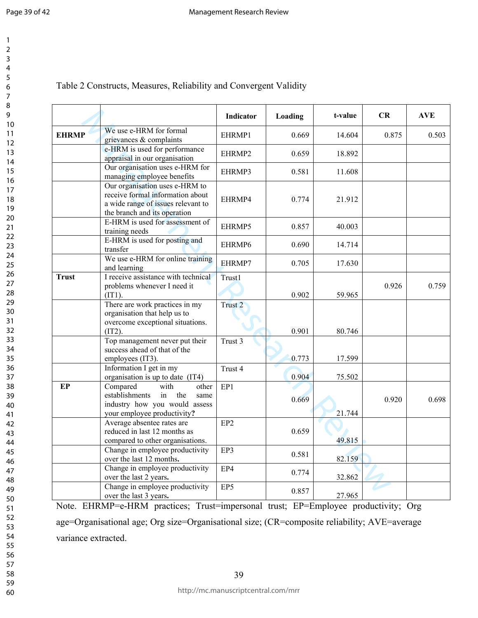| 1                                 |  |
|-----------------------------------|--|
| Ž                                 |  |
| 3                                 |  |
| 4                                 |  |
| 5                                 |  |
|                                   |  |
| 6<br>7                            |  |
| 8                                 |  |
| 9                                 |  |
| 10                                |  |
| 1<br>1                            |  |
| 1<br>$\overline{2}$               |  |
| 1<br>3                            |  |
| $\mathbf{1}$<br>4                 |  |
| 5<br>$\mathbf{1}$                 |  |
|                                   |  |
| 16<br>17                          |  |
| 18                                |  |
| ,<br>19                           |  |
| $\overline{20}$                   |  |
| $\frac{1}{2}$                     |  |
| $\frac{2}{2}$<br>23               |  |
|                                   |  |
| .<br>24                           |  |
| $\overline{25}$                   |  |
|                                   |  |
| -<br>26<br>27                     |  |
| 28                                |  |
|                                   |  |
| 29<br>30<br>31<br>32<br>33        |  |
|                                   |  |
|                                   |  |
|                                   |  |
|                                   |  |
| 34<br>35<br>36                    |  |
|                                   |  |
| $\frac{1}{37}$                    |  |
|                                   |  |
| $\frac{3}{5}$<br>S                |  |
| 39                                |  |
| 40                                |  |
| 41                                |  |
| $\overline{4}$<br>$\overline{c}$  |  |
| $\overline{4}$<br>ξ               |  |
| 44                                |  |
| 45                                |  |
| 46                                |  |
| 47                                |  |
| 48                                |  |
| 49                                |  |
| 50                                |  |
| 51                                |  |
| 5.<br>$\overline{c}$              |  |
| $\overline{\mathbf{5}}$<br>ľ<br>ξ |  |
| $\overline{5}4$<br>ľ              |  |
| $\overline{5}$<br>ľ               |  |
| 56                                |  |
| 57<br>ľ                           |  |
| 58                                |  |
| l<br>59                           |  |

| Table 2 Constructs, Measures, Reliability and Convergent Validity |  |  |  |
|-------------------------------------------------------------------|--|--|--|
|-------------------------------------------------------------------|--|--|--|

|              |                                                                                                                                          | Indicator          | Loading | t-value | CR    | <b>AVE</b> |
|--------------|------------------------------------------------------------------------------------------------------------------------------------------|--------------------|---------|---------|-------|------------|
| <b>EHRMP</b> | We use e-HRM for formal<br>grievances & complaints                                                                                       | EHRMP1             | 0.669   | 14.604  | 0.875 | 0.503      |
|              | e-HRM is used for performance<br>appraisal in our organisation                                                                           | EHRMP2             | 0.659   | 18.892  |       |            |
|              | Our organisation uses e-HRM for<br>managing employee benefits                                                                            | EHRMP3             | 0.581   | 11.608  |       |            |
|              | Our organisation uses e-HRM to<br>receive formal information about<br>a wide range of issues relevant to<br>the branch and its operation | EHRMP4             | 0.774   | 21.912  |       |            |
|              | E-HRM is used for assessment of<br>training needs                                                                                        | EHRMP5             | 0.857   | 40.003  |       |            |
|              | E-HRM is used for posting and<br>transfer                                                                                                | EHRMP6             | 0.690   | 14.714  |       |            |
|              | We use e-HRM for online training<br>and learning                                                                                         | EHRMP7             | 0.705   | 17.630  |       |            |
| <b>Trust</b> | I receive assistance with technical<br>problems whenever I need it<br>$(TT1)$ .                                                          | Trust1             | 0.902   | 59.965  | 0.926 | 0.759      |
|              | There are work practices in my<br>organisation that help us to<br>overcome exceptional situations.<br>(IT2).                             | Trust <sub>2</sub> | 0.901   | 80.746  |       |            |
|              | Top management never put their<br>success ahead of that of the<br>employees (IT3).                                                       | Trust 3            | 0.773   | 17.599  |       |            |
|              | Information I get in my<br>organisation is up to date (IT4)                                                                              | Trust 4            | 0.904   | 75.502  |       |            |
| $E$ P        | Compared<br>with<br>other<br>establishments<br>in<br>the<br>same<br>industry how you would assess<br>your employee productivity?         | EP1                | 0.669   | 21.744  | 0.920 | 0.698      |
|              | Average absentee rates are<br>reduced in last 12 months as<br>compared to other organisations.                                           | EP <sub>2</sub>    | 0.659   | 49.815  |       |            |
|              | Change in employee productivity<br>over the last 12 months.                                                                              | EP3                | 0.581   | 82.159  |       |            |
|              | Change in employee productivity<br>over the last 2 years.                                                                                | EP4                | 0.774   | 32.862  |       |            |
|              | Change in employee productivity<br>over the last 3 years.                                                                                | EP5                | 0.857   | 27.965  |       |            |

Note. EHRMP=e-HRM practices; Trust=impersonal trust; EP=Employee productivity; Org age=Organisational age; Org size=Organisational size; (CR=composite reliability; AVE=average variance extracted.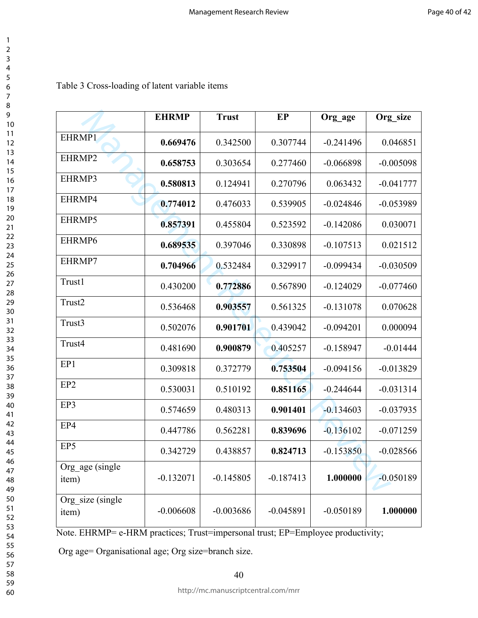| $\overline{ }$                               |   |
|----------------------------------------------|---|
|                                              |   |
| ∩ 4 5 6 7 8 9 10 11 12 −                     |   |
|                                              |   |
|                                              |   |
|                                              |   |
|                                              |   |
|                                              |   |
|                                              |   |
|                                              |   |
|                                              |   |
|                                              |   |
|                                              |   |
|                                              |   |
|                                              |   |
|                                              |   |
|                                              |   |
|                                              |   |
|                                              |   |
|                                              |   |
|                                              |   |
|                                              |   |
|                                              |   |
| 13<br>14<br>15<br>16<br>17<br>18             |   |
|                                              |   |
|                                              |   |
|                                              |   |
|                                              |   |
| 1222234567893131                             |   |
|                                              |   |
|                                              |   |
|                                              |   |
|                                              |   |
|                                              |   |
|                                              |   |
|                                              |   |
|                                              |   |
|                                              |   |
|                                              |   |
|                                              |   |
|                                              |   |
|                                              |   |
| 31<br>32<br>33<br>34<br>35<br>36<br>37<br>38 |   |
|                                              |   |
|                                              |   |
|                                              |   |
|                                              |   |
|                                              |   |
|                                              |   |
|                                              |   |
|                                              |   |
|                                              |   |
|                                              |   |
|                                              |   |
| $\mathbf{S}$                                 | 9 |
| 40                                           |   |
| 41                                           |   |
|                                              |   |
| 4.                                           |   |
| 4                                            | ξ |
|                                              |   |
| 44                                           |   |
| 45                                           |   |
|                                              |   |
| 46                                           |   |
| 47                                           |   |
|                                              |   |
| 48                                           | ₹ |
| 49                                           |   |
| 50                                           |   |
|                                              |   |
| 51                                           |   |
| $\overline{\mathbf{5}}$                      | 2 |
|                                              |   |
| $\overline{\mathbf{5}}$                      | ξ |
| 54                                           |   |
|                                              |   |
| 55                                           |   |
| 56                                           |   |
|                                              |   |
| $\overline{5}$                               |   |
| 58                                           |   |
| 59                                           |   |
|                                              |   |

## Table 3 Cross-loading of latent variable items

|                           | <b>EHRMP</b> | <b>Trust</b> | EP          | Org age     | Org size    |
|---------------------------|--------------|--------------|-------------|-------------|-------------|
| EHRMP1                    | 0.669476     | 0.342500     | 0.307744    | $-0.241496$ | 0.046851    |
| EHRMP2                    | 0.658753     | 0.303654     | 0.277460    | $-0.066898$ | $-0.005098$ |
| EHRMP3                    | 0.580813     | 0.124941     | 0.270796    | 0.063432    | $-0.041777$ |
| EHRMP4                    | 0.774012     | 0.476033     | 0.539905    | $-0.024846$ | $-0.053989$ |
| EHRMP5                    | 0.857391     | 0.455804     | 0.523592    | $-0.142086$ | 0.030071    |
| EHRMP6                    | 0.689535     | 0.397046     | 0.330898    | $-0.107513$ | 0.021512    |
| EHRMP7                    | 0.704966     | 0.532484     | 0.329917    | $-0.099434$ | $-0.030509$ |
| Trust1                    | 0.430200     | 0.772886     | 0.567890    | $-0.124029$ | $-0.077460$ |
| Trust2                    | 0.536468     | 0.903557     | 0.561325    | $-0.131078$ | 0.070628    |
| Trust3                    | 0.502076     | 0.901701     | 0.439042    | $-0.094201$ | 0.000094    |
| Trust4                    | 0.481690     | 0.900879     | 0.405257    | $-0.158947$ | $-0.01444$  |
| EP1                       | 0.309818     | 0.372779     | 0.753504    | $-0.094156$ | $-0.013829$ |
| EP <sub>2</sub>           | 0.530031     | 0.510192     | 0.851165    | $-0.244644$ | $-0.031314$ |
| EP3                       | 0.574659     | 0.480313     | 0.901401    | $-0.134603$ | $-0.037935$ |
| EP4                       | 0.447786     | 0.562281     | 0.839696    | $-0.136102$ | $-0.071259$ |
| EP5                       | 0.342729     | 0.438857     | 0.824713    | $-0.153850$ | $-0.028566$ |
| Org_age (single<br>item)  | $-0.132071$  | $-0.145805$  | $-0.187413$ | 1.000000    | $-0.050189$ |
| Org_size (single<br>item) | $-0.006608$  | $-0.003686$  | $-0.045891$ | $-0.050189$ | 1.000000    |

Note. EHRMP= e-HRM practices; Trust=impersonal trust; EP=Employee productivity;

Org age= Organisational age; Org size=branch size.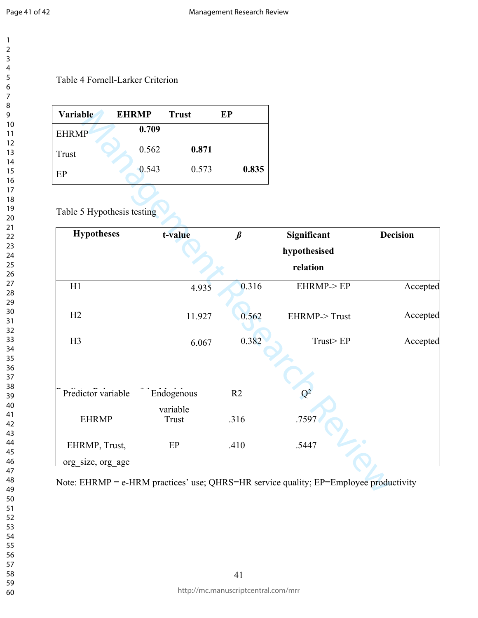## Table 4 Fornell-Larker Criterion

| 0.709<br><b>EHRMP</b><br>0.871<br>0.562<br>Trust |       |
|--------------------------------------------------|-------|
|                                                  |       |
|                                                  |       |
| 0.543<br>0.573<br>EP                             | 0.835 |

Table 5 Hypothesis testing

| Variable                   | <b>EHRMP</b> | <b>Trust</b>      | EP      |                                                                                       |                 |
|----------------------------|--------------|-------------------|---------|---------------------------------------------------------------------------------------|-----------------|
| <b>EHRMP</b>               | 0.709        |                   |         |                                                                                       |                 |
| <b>Trust</b>               | 0.562        | 0.871             |         |                                                                                       |                 |
| EP                         | 0.543        | 0.573             | 0.835   |                                                                                       |                 |
|                            |              |                   |         |                                                                                       |                 |
| Table 5 Hypothesis testing |              |                   |         |                                                                                       |                 |
| <b>Hypotheses</b>          |              | t-value           | $\beta$ | Significant                                                                           | <b>Decision</b> |
|                            |              |                   |         | hypothesised                                                                          |                 |
|                            |              |                   |         | relation                                                                              |                 |
| H1                         |              | 4.935             | 0.316   | EHRMP->EP                                                                             | Accepted        |
| H2                         |              | 11.927            | 0.562   | EHRMP->Trust                                                                          | Accepted        |
|                            |              |                   |         |                                                                                       |                 |
| H3                         |              | 6.067             | 0.382   | Trust>EP                                                                              | Accepted        |
|                            |              |                   |         |                                                                                       |                 |
| Predictor variable         |              | Endogenous        | R2      | $\rm{Q^2}$                                                                            |                 |
| <b>EHRMP</b>               |              | variable<br>Trust | .316    | .7597                                                                                 |                 |
| EHRMP, Trust,              |              | EP                | .410    | .5447                                                                                 |                 |
| org_size, org_age          |              |                   |         |                                                                                       |                 |
|                            |              |                   |         | Note: EHRMP = e-HRM practices' use; QHRS=HR service quality; EP=Employee productivity |                 |